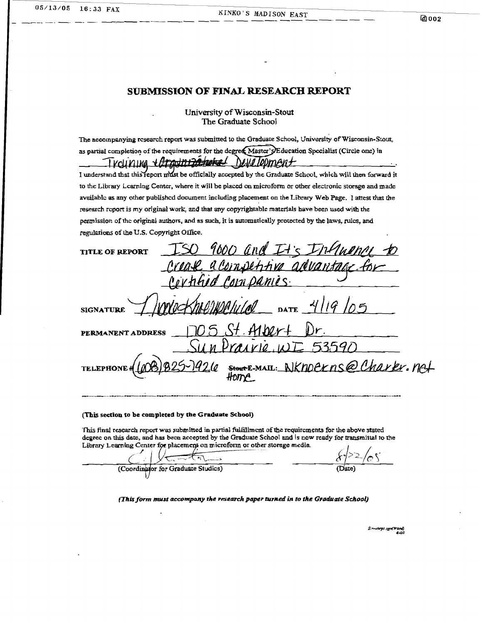#### **SUBMLSSION OF FINAL RESEARCH REPORT**

#### **University of Wisconsin-Stout The Graduate School**

**The accoinpanying rcvenrch repm wa~ submined LO thc Graduae School, university of Wisconsin-Stout**  as partial completion of the requirements for the degree Master's Education Specialist (Circle one) in Trouning + Ara<del>vint2a poke</del>l Development

I understand that this report must be officially accepted by the Graduate School, which will then forward it **to rhc Library Lcarning Center, where it will be placed on microfo'orm or other electronic srorage and madc avdablc as any other** published **document including placement on rhe Library Web Page. 1 attest that the research rcport is my original work, and rhat any capyrighrable** materials **have been used** with **rhc permission of thc original authors, and as such, it is automatically protected by the law, rulcs, and regulations of the U.S. Copyrighr Ofice.** 

| regulations of the cas, copyright office.                 |
|-----------------------------------------------------------|
| 9000 and It's Intende to<br><b>TITLE OF REPORT</b>        |
|                                                           |
| Crease a competitive advantage for                        |
| WOCKholikelillel DATE 4/19/05<br><b>SIGNATURE</b>         |
| 705 St. Albert Dr.<br>PERMANENT ADDRESS                   |
| rairie WI 53590                                           |
| TELEPHONE (COB) B25-1926 SHORTE-MAIL: NKNOCKNS@Charkr.net |

#### **(This section to be completed by the Graduate School)**

**This final research report was submitted in partial fulfillment of the requirements for the above stated dcnrec on this dare. and has becn accepred by the Graduate School and is now re& for aansmitral to rhe**  Library Learning Center for placement on microform or other storage media.

**b** *r r r r <i>r r r r r r r r r r r r r r <i>r <i>r <i>r <i>r <i>r <i>r <i>r <i>r <i>r <i>r <i>r <i>r <i>r <i>r*  $\left(\cdot,\cdot\right)$  $\overline{\phantom{a}}$ 

**(This form mvst** accompany *the research paper* **turned in to the Graduafe School)** 

(Sirachept syn(Ward)<br>9–6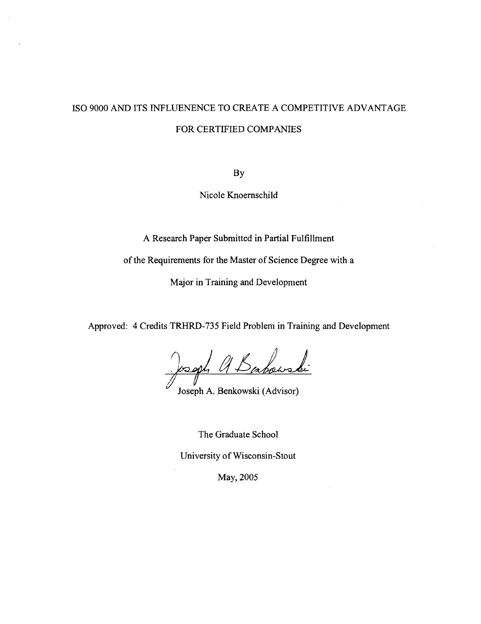# IS0 9000 AND ITS INFLLENENCE TO CREATE A COMPETITIVE ADVANTAGE FOR CERTIFIED COMPANIES

**BY** 

Nicole Knoernschild

A Research Paper Submitted in Partial Fulfillment

of the Requirements for the Master of Science Degree with a

Major in Training and Development

Approved: 4 Credits TRHRD-735 Field Problem in Training and Development

Babouski <u>josoph</u>

Joseph A. Benkowski (Advisor)

The Graduate School

University of Wisconsin-Stout

May, 2005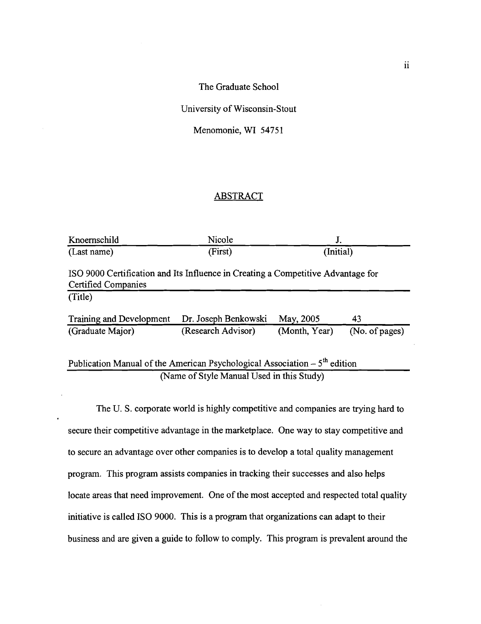The Graduate School

University of Wisconsin-Stout

Menomonie, WI 54751

## ABSTRACT

| Knoernschild                                                                                            | Nicole               | J.            |                |  |  |  |  |
|---------------------------------------------------------------------------------------------------------|----------------------|---------------|----------------|--|--|--|--|
| (Last name)                                                                                             | (First)              | (Initial)     |                |  |  |  |  |
| ISO 9000 Certification and Its Influence in Creating a Competitive Advantage for<br>Certified Companies |                      |               |                |  |  |  |  |
| (Title)                                                                                                 |                      |               |                |  |  |  |  |
| Training and Development                                                                                | Dr. Joseph Benkowski | May, 2005     | 43             |  |  |  |  |
| (Graduate Major)                                                                                        | (Research Advisor)   | (Month, Year) | (No. of pages) |  |  |  |  |
| Publication Manual of the American Psychological Association $-5th$ edition                             |                      |               |                |  |  |  |  |
| (Name of Style Manual Used in this Study)                                                               |                      |               |                |  |  |  |  |

The U. S. corporate world is highly competitive and companies are trying hard to secure their competitive advantage in the marketplace. One way to stay competitive and to secure an advantage over other companies is to develop a total quality management program. This program assists companies in tracking their successes and also helps locate areas that need improvement. One of the most accepted and respected total quality initiative is called IS0 9000. This is a program that organizations can adapt to their business and are given a guide to follow to comply. This program is prevalent around the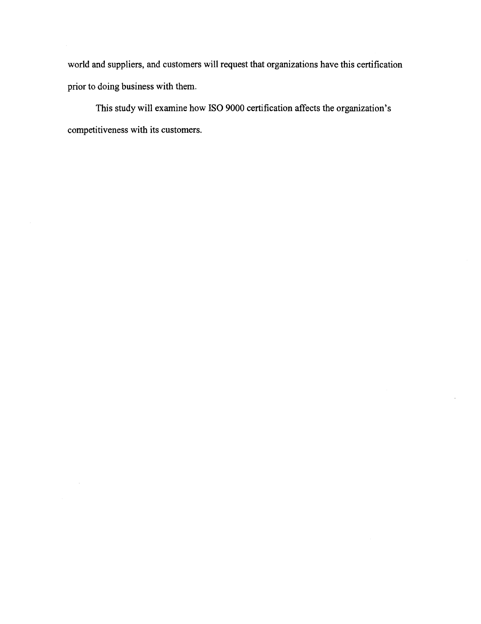world and suppliers, and customers will request that organizations have this certification prior to doing business with them.

This study will examine how IS0 9000 certification affects the organization's competitiveness with its customers.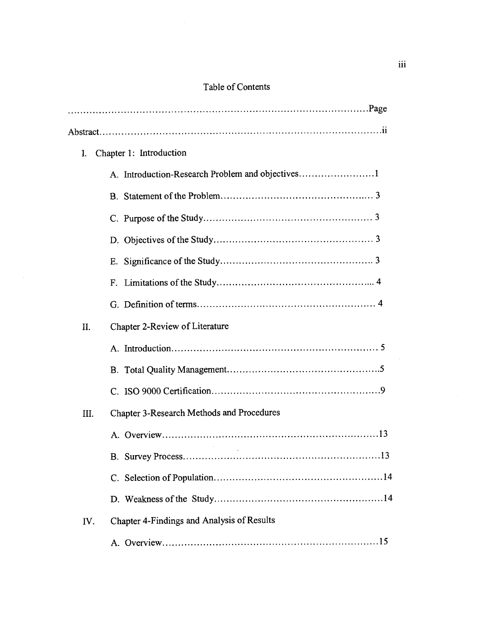# Table of Contents

| I.   | Chapter 1: Introduction                          |  |
|------|--------------------------------------------------|--|
|      | A. Introduction-Research Problem and objectives  |  |
|      |                                                  |  |
|      |                                                  |  |
|      |                                                  |  |
|      |                                                  |  |
|      |                                                  |  |
|      |                                                  |  |
| II.  | <b>Chapter 2-Review of Literature</b>            |  |
|      |                                                  |  |
|      |                                                  |  |
|      |                                                  |  |
| III. | <b>Chapter 3-Research Methods and Procedures</b> |  |
|      |                                                  |  |
|      | .13                                              |  |
|      |                                                  |  |
|      |                                                  |  |
| IV.  | Chapter 4-Findings and Analysis of Results       |  |
|      |                                                  |  |
|      |                                                  |  |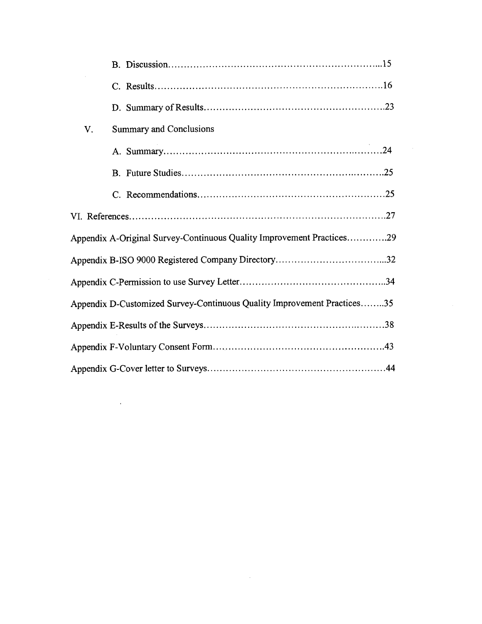| V. | <b>Summary and Conclusions</b>                                          |
|----|-------------------------------------------------------------------------|
|    |                                                                         |
|    |                                                                         |
|    |                                                                         |
|    |                                                                         |
|    | Appendix A-Original Survey-Continuous Quality Improvement Practices29   |
|    |                                                                         |
|    |                                                                         |
|    | Appendix D-Customized Survey-Continuous Quality Improvement Practices35 |
|    |                                                                         |
|    |                                                                         |
|    |                                                                         |

 $\label{eq:2.1} \mathcal{L}(\mathcal{L}^{\text{max}}_{\mathcal{L}}(\mathcal{L}^{\text{max}}_{\mathcal{L}})) \leq \mathcal{L}(\mathcal{L}^{\text{max}}_{\mathcal{L}}(\mathcal{L}^{\text{max}}_{\mathcal{L}}))$ 

 $\label{eq:2.1} \mathcal{L}(\mathcal{L}^{\text{max}}_{\mathcal{L}}(\mathcal{L}^{\text{max}}_{\mathcal{L}}),\mathcal{L}^{\text{max}}_{\mathcal{L}^{\text{max}}_{\mathcal{L}}})$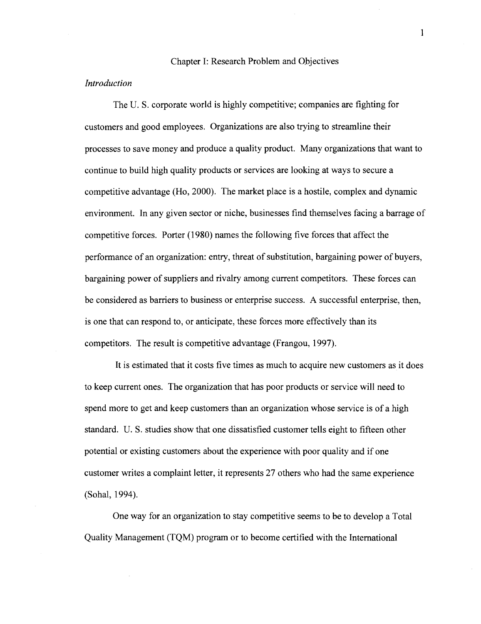#### Chapter I: Research Problem and Objectives

#### *Introduction*

The U. S. corporate world is highly competitive; companies are fighting for customers and good employees. Organizations are also trying to streamline their processes to save money and produce a quality product. Many organizations that want to continue to build high quality products or services are looking at ways to secure a competitive advantage (Ho, 2000). The market place is a hostile, complex and dynamic environment. In any given sector or niche, businesses find themselves facing a barrage of competitive forces. Porter (1980) names the following five forces that affect the performance of an organization: entry, threat of substitution, bargaining power of buyers, bargaining power of suppliers and rivalry among current competitors. These forces can be considered as barriers to business or enterprise success. A successfid enterprise, then, is one that can respond to, or anticipate, these forces more effectively than its competitors. The result is competitive advantage (Frangou, 1997).

It is estimated that it costs five times as much to acquire new customers as it does to keep current ones. The organization that has poor products or service will need to spend more to get and keep customers than an organization whose service is of a high standard. U. S. studies show that one dissatisfied customer tells eight to fifteen other potential or existing customers about the experience with poor quality and if one customer writes a complaint letter, it represents 27 others who had the same experience (Sohal, 1994).

One way for an organization to stay competitive seems to be to develop a Total Quality Management (TQM) program or to become certified with the International

 $\mathbf{I}$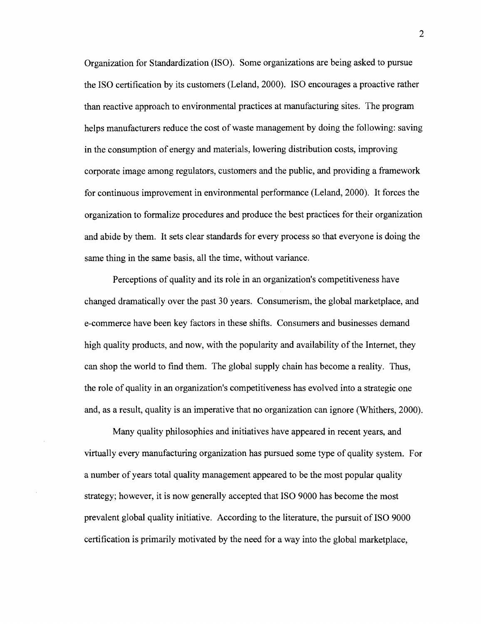Organization for Standardization (ISO). Some organizations are being asked to pursue the IS0 certification by its customers (Leland, 2000). IS0 encourages a proactive rather than reactive approach to environmental practices at manufacturing sites. The program helps manufacturers reduce the cost of waste management by doing the following: saving in the consumption of energy and materials, lowering distribution costs, improving corporate image among regulators, customers and the public, and providing a framework for continuous improvement in environmental performance (Leland, 2000). It forces the organization to formalize procedures and produce the best practices for their organization and abide by them. It sets clear standards for every process so that everyone is doing the same thing in the same basis, all the time, without variance.

Perceptions of quality and its role in an organization's competitiveness have changed dramatically over the past 30 years. Consumerism, the global marketplace, and e-commerce have been key factors in these shifts. Consumers and businesses demand high quality products, and now, with the popularity and availability of the Internet, they can shop the world to find them. The global supply chain has become a reality. Thus, the role of quality in an organization's competitiveness has evolved into a strategic one and, as a result, quality is an imperative that no organization can ignore (Whithers, 2000).

Many quality philosophies and initiatives have appeared in recent years, and virtually every manufacturing organization has pursued some type of quality system. For a number of years total quality management appeared to be the most popular quality strategy; however, it is now generally accepted that IS0 9000 has become the most prevalent global quality initiative. According to the literature, the pursuit of IS0 9000 certification is primarily motivated by the need for a way into the global marketplace,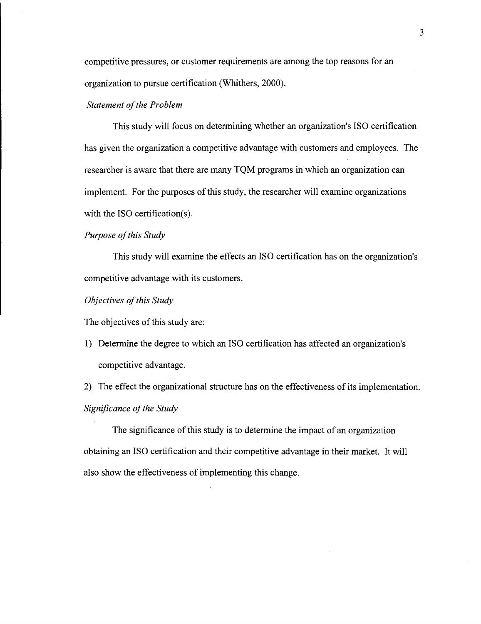competitive pressures, or customer requirements are among the top reasons for an organization to pursue certification (Whithers, 2000).

#### *Statement of the Problem*

This study will focus on determining whether an organization's IS0 certification has given the organization a competitive advantage with customers and employees. The researcher is aware that there are many TQM programs in which an organization can implement. For the purposes of this study, the researcher will examine organizations with the ISO certification(s).

### *Purpose of this Study*

This study will examine the effects an IS0 certification has on the organization's competitive advantage with its customers.

#### *Objectives of this Study*

The objectives of this study are:

1) Determine the degree to which an IS0 certification has affected an organization's competitive advantage.

2) The effect the organizational structure has on the effectiveness of its implementation. **Significance of the Study** 

The significance of this study is to determine the impact of an organization obtaining an IS0 certification and their competitive advantage in their market. It will also show the effectiveness of implementing this change.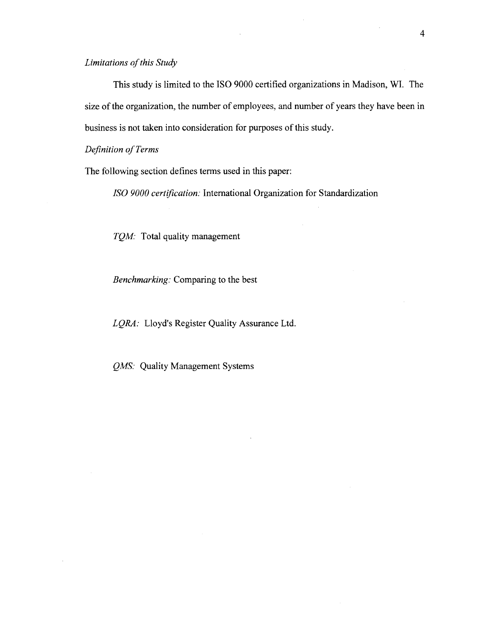*Limitations of this Study* 

This study is limited to the IS0 9000 certified organizations in Madison, WI. The size of the organization, the number of employees, and number of years they have been in business is not taken into consideration for purposes of this study.

*Definition of Terms* 

The following section defines terms used in this paper:

*ISO 9000 certification: International Organization for Standardization* 

*TQM:* Total quality management

*Benchmarking:* Comparing to the best

*LQRA:* Lloyd's Register Quality Assurance Ltd.

*QMS:* Quality Management Systems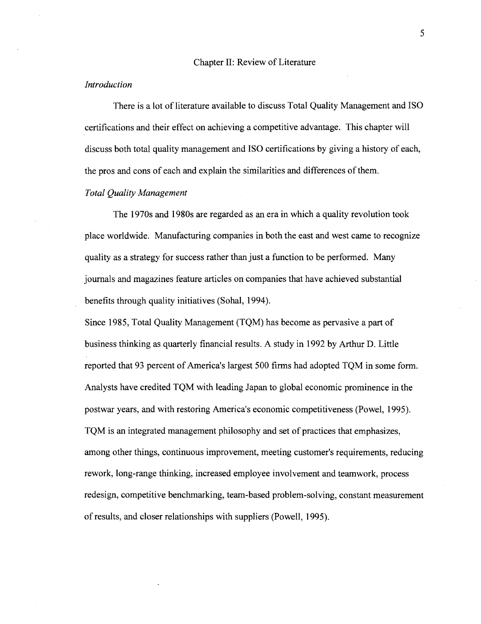#### Chapter 11: Review of Literature

#### *Introduction*

There is a lot of literature available to discuss Total Quality Management and IS0 certifications and their effect on achieving a competitive advantage. This chapter will discuss both total quality management and IS0 certifications by giving a history of each, the pros and cons of each and explain the similarities and differences of them.

## *Total Quality Management*

The 1970s and 1980s are regarded as an era in which a quality revolution took place worldwide. Manufacturing companies in both the east and west came to recognize quality as a strategy for success rather than just a function to be performed. Many journals and magazines feature articles on companies that have achieved substantial benefits through quality initiatives (Sohal, 1994).

Since 1985, Total Quality Management (TQM) has become as pervasive a part of business thinking as quarterly financial results. A study in 1992 by Arthur D. Little reported that 93 percent of America's largest 500 firms had adopted TQM in some form. Analysts have credited TQM with leading Japan to global economic prominence in the postwar years, and with restoring America's economic competitiveness (Powel, 1995). TQM is an integrated management philosophy and set of practices that emphasizes, among other things, continuous improvement, meeting customer's requirements, reducing rework, long-range thinking, increased employee involvement and teamwork, process redesign, competitive benchmarking, team-based problem-solving, constant measurement of results, and closer relationships with suppliers (Powell, 1995).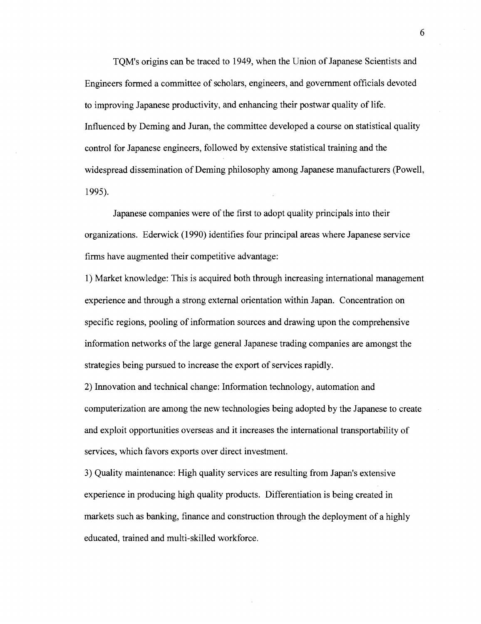TQM's origins can be traced to 1949, when the Union of Japanese Scientists and Engineers formed a committee of scholars, engineers, and government officials devoted to improving Japanese productivity, and enhancing their postwar quality of life. Influenced by Deming and Juran, the committee developed a course on statistical quality control for Japanese engineers, followed by extensive statistical training and the widespread dissemination of Deming philosophy among Japanese manufacturers (Powell, 1995).

Japanese companies were of the first to adopt quality principals into their organizations. Ederwick (1990) identifies four principal areas where Japanese service firms have augmented their competitive advantage:

1) Market knowledge: This is acquired both through increasing international management experience and through a strong external orientation within Japan. Concentration on specific regions, pooling of information sources and drawing upon the comprehensive information networks of the large general Japanese trading companies are amongst the strategies being pursued to increase the export of services rapidly.

2) Innovation and technical change: Information technology, automation and computerization are among the new technologies being adopted by the Japanese to create and exploit opportunities overseas and it increases the international transportability of services, which favors exports over direct investment.

**3)** Quality maintenance: High quality services are resulting from Japan's extensive experience in producing high quality products. Differentiation is being created in markets such as banking, finance and construction through the deployment of a highly educated, trained and multi-skilled workforce.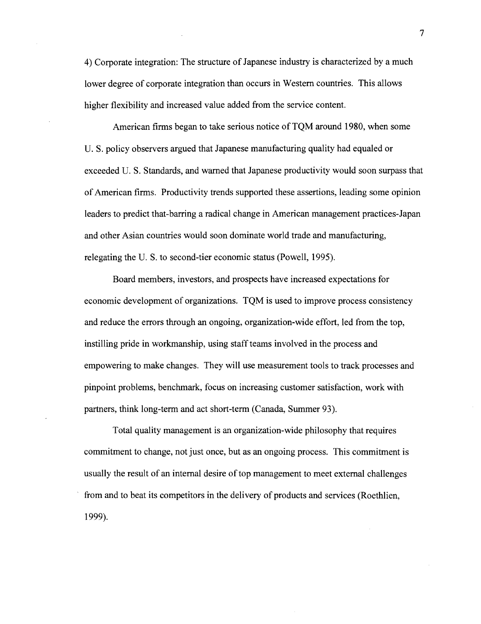4) Corporate integration: The structure of Japanese industry is characterized by a much lower degree of corporate integration than occurs in Western countries. This allows higher flexibility and increased value added from the service content.

American firms began to take serious notice of TQM around 1980, when some U. S. policy observers argued that Japanese manufacturing quality had equaled or exceeded U. S. Standards, and warned that Japanese productivity would soon surpass that of American firms. Productivity trends supported these assertions, leading some opinion leaders to predict that-barring a radical change in American management practices-Japan and other Asian countries would soon dominate world trade and manufacturing, relegating the U. S. to second-tier economic status (Powell, 1995).

Board members, investors, and prospects have increased expectations for economic development of organizations. TQM is used to improve process consistency and reduce the errors through an ongoing, organization-wide effort, led from the top, instilling pride in workmanship, using staff teams involved in the process and empowering to make changes. They will use measurement tools to track processes and pinpoint problems, benchmark, focus on increasing customer satisfaction, work with partners, think long-term and act short-term (Canada, Summer 93).

Total quality management is an organization-wide philosophy that requires commitment to change, not just once, but as an ongoing process. This commitment is usually the result of an internal desire of top management to meet external challenges from and to beat its competitors in the delivery of products and services (Roethlien, 1999).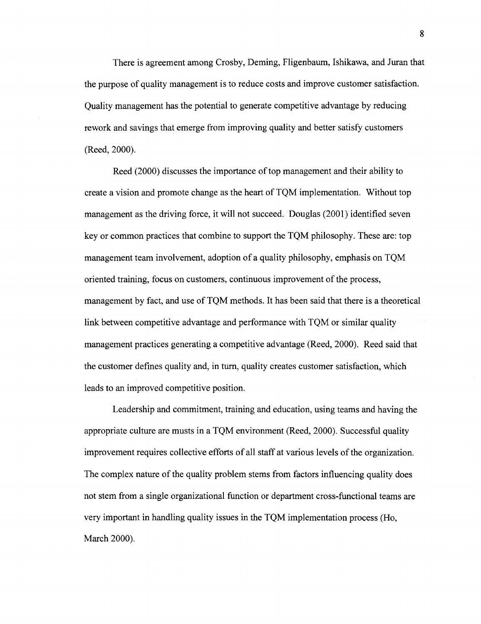There is agreement among Crosby, Deming, Fligenbaum, Ishikawa, and Juran that the purpose of quality management is to reduce costs and improve customer satisfaction. Quality management has the potential to generate competitive advantage by reducing rework and savings that emerge from improving quality and better satisfy customers (Reed, 2000).

Reed (2000) discusses the importance of top management and their ability to create a vision and promote change as the heart of TQM implementation. Without top management as the driving force, it will not succeed. Douglas (2001) identified seven key or common practices that combine to support the TQM philosophy. These are: top management team involvement, adoption of a quality philosophy, emphasis on TQM oriented training, focus on customers, continuous improvement of the process, management by fact, and use of TQM methods. It has been said that there is a theoretical link between competitive advantage and performance with TQM or similar quality management practices generating a competitive advantage (Reed, 2000). Reed said that the customer defines quality and, in turn, quality creates customer satisfaction, which leads to an improved competitive position.

Leadership and commitment, training and education, using teams and having the appropriate culture are musts in a TQM environment (Reed, 2000). Successful quality improvement requires collective efforts of all staff at various levels of the organization. The complex nature of the quality problem stems from factors influencing quality does not stem from a single organizational function or department cross-functional teams are very important in handling quality issues in the TQM implementation process (Ho, March 2000).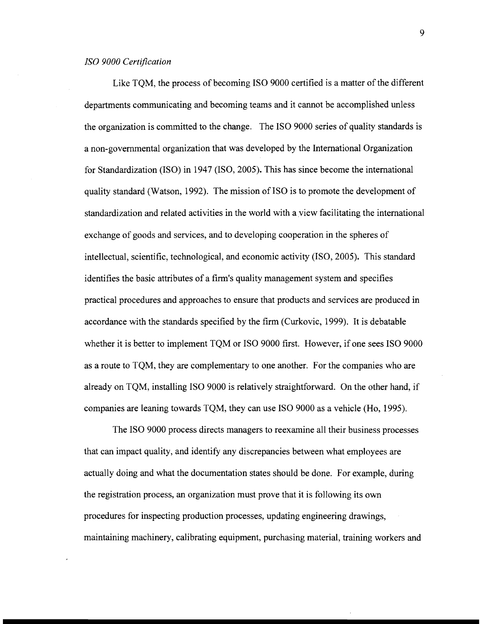Like TQM, the process of becoming IS0 9000 certified is a matter of the different departments communicating and becoming teams and it cannot be accomplished unless the organization is committed to the change. The IS0 9000 series of quality standards is a non-governmental organization that was developed by the International Organization for Standardization (ISO) in 1947 (ISO, 2005). This has since become the international quality standard (Watson, 1992). The mission of IS0 is to promote the development of standardization and related activities in the world with a view facilitating the international exchange of goods and services, and to developing cooperation in the spheres of intellectual, scientific, technological, and economic activity (ISO, 2005). This standard identifies the basic attributes of a firm's quality management system and specifies practical procedures and approaches to ensure that products and services are produced in accordance with the standards specified by the firm (Curkovic, 1999). It is debatable whether it is better to implement TQM or IS0 9000 first. However, if one sees IS0 9000 as a route to TQM, they are complementary to one another. For the companies who are already on TQM, installing IS0 9000 is relatively straightforward. On the other hand, if companies are leaning towards TQM, they can use IS0 9000 as a vehicle (Ho, 1995).

The IS0 9000 process directs managers to reexamine all their business processes that can impact quality, and identify any discrepancies between what employees are actually doing and what the documentation states should be done. For example, during the registration process, an organization must prove that it is following its own procedures for inspecting production processes, updating engineering drawings, maintaining machinery, calibrating equipment, purchasing material, training workers and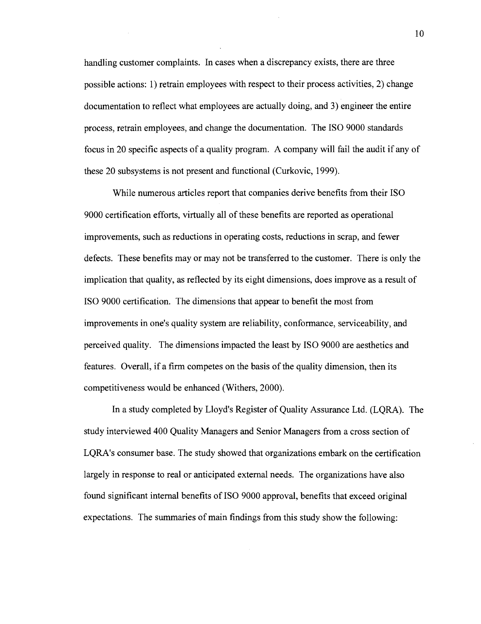handling customer complaints. In cases when a discrepancy exists, there are three possible actions: 1) retrain employees with respect to their process activities, 2) change documentation to reflect what employees are actually doing, and 3) engineer the entire process, retrain employees, and change the documentation. The IS0 9000 standards focus in 20 specific aspects of a quality program. A company will fail the audit if any of these 20 subsystems is not present and functional (Curkovic, 1999).

While numerous articles report that companies derive benefits from their ISO 9000 certification efforts, virtually all of these benefits are reported as operational improvements, such as reductions in operating costs, reductions in scrap, and fewer defects. These benefits may or may not be transferred to the customer. There is only the implication that quality, as reflected by its eight dimensions, does improve as a result of IS0 9000 certification. The dimensions that appear to benefit the most from improvements in one's quality system are reliability, conformance, serviceability, and perceived quality. The dimensions impacted the least by IS0 9000 are aesthetics and features. Overall, if a firm competes on the basis of the quality dimension, then its competitiveness would be enhanced (Withers, 2000).

In a study completed by Lloyd's Register of Quality Assurance Ltd. (LQRA). The study interviewed 400 Quality Managers and Senior Managers from a cross section of LQRA's consumer base. The study showed that organizations embark on the certification largely in response to real or anticipated external needs. The organizations have also found significant internal benefits of IS0 9000 approval, benefits that exceed original expectations. The summaries of main findings from this study show the following: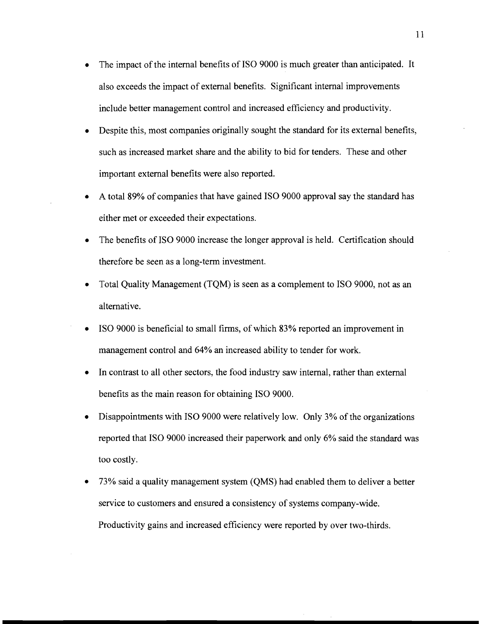- The impact of the internal benefits of IS0 9000 is much greater than anticipated. It  $\bullet$ also exceeds the impact of external benefits. Significant internal improvements include better management control and increased efficiency and productivity.
- Despite this, most companies originally sought the standard for its external benefits,  $\bullet$ such as increased market share and the ability to bid for tenders. These and other important external benefits were also reported.
- A total 89% of companies that have gained IS0 9000 approval say the standard has  $\bullet$ either met or exceeded their expectations.
- The benefits of IS0 9000 increase the longer approval is held. Certification should  $\bullet$ therefore be seen as a long-term investment.
- Total Quality Management (TQM) is seen as a complement to IS0 9000, not as an  $\bullet$ alternative.
- IS0 9000 is beneficial to small firms, of which 83% reported an improvement in  $\bullet$ management control and 64% an increased ability to tender for work.
- In contrast to all other sectors, the food industry saw internal, rather than external benefits as the main reason for obtaining IS0 9000.
- Disappointments with IS0 9000 were relatively low. Only 3% of the organizations reported that IS0 9000 increased their paperwork and only 6% said the standard was too costly.
- 73% said a quality management system (QMS) had enabled them to deliver a better service to customers and ensured a consistency of systems company-wide. Productivity gains and increased efficiency were reported by over two-thirds.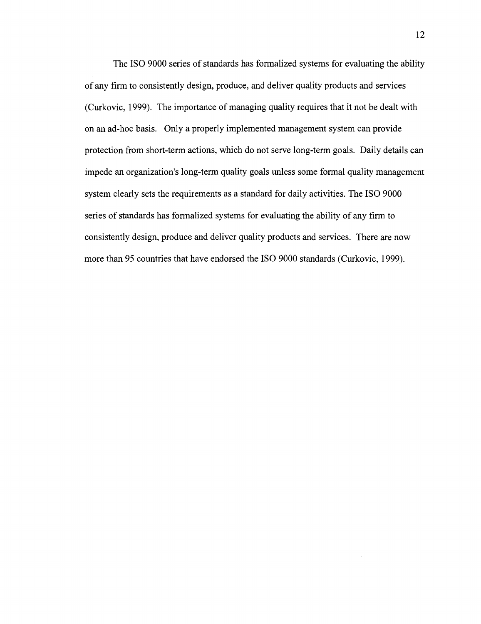The IS0 9000 series of standards has formalized systems for evaluating the ability of any firm to consistently design, produce, and deliver quality products and services (Curkovic, 1999). The importance of managing quality requires that it not be dealt with on an ad-hoc basis. Only a properly implemented management system can provide protection from short-term actions, which do not serve long-term goals. Daily details can impede an organization's long-term quality goals unless some formal quality management system clearly sets the requirements as a standard for daily activities. The IS0 9000 series of standards has formalized systems for evaluating the ability of any firm to consistently design, produce and deliver quality products and services. There are now more than 95 countries that have endorsed the IS0 9000 standards (Curkovic, 1999).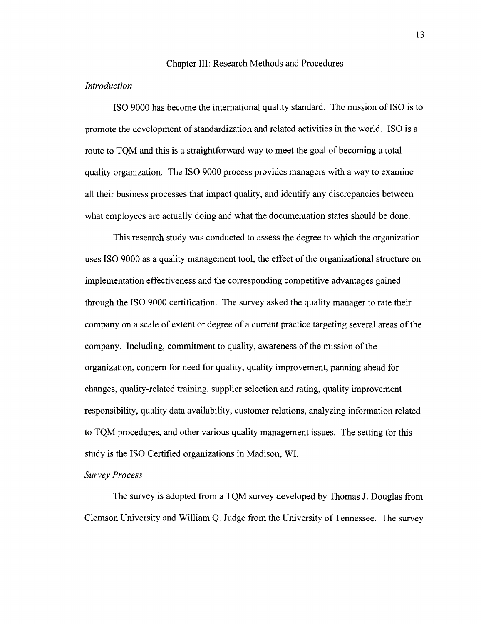#### Chapter 111: Research Methods and Procedures

## *Introduction*

IS0 9000 has become the international quality standard. The mission of IS0 is to promote the development of standardization and related activities in the world. IS0 is a route to TOM and this is a straightforward way to meet the goal of becoming a total quality organization. The IS0 9000 process provides managers with a way to examine all their business processes that impact quality, and identify any discrepancies between what employees are actually doing and what the documentation states should be done.

This research study was conducted to assess the degree to which the organization uses IS0 9000 as a quality management tool, the effect of the organizational structure on implementation effectiveness and the corresponding competitive advantages gained through the IS0 9000 certification. The survey asked the quality manager to rate their company on a scale of extent or degree of a current practice targeting several areas of the company. Including, commitment to quality, awareness of the mission of the organization, concern for need for quality, quality improvement, panning ahead for changes, quality-related training, supplier selection and rating, quality improvement responsibility, quality data availability, customer relations, analyzing information related to TQM procedures, and other various quality management issues. The setting for this study is the IS0 Certified organizations in Madison, WI.

#### *Survey Process*

The survey is adopted from a TQM survey developed by Thomas J. Douglas from Clemson University and William Q. Judge fiom the University of Tennessee. The survey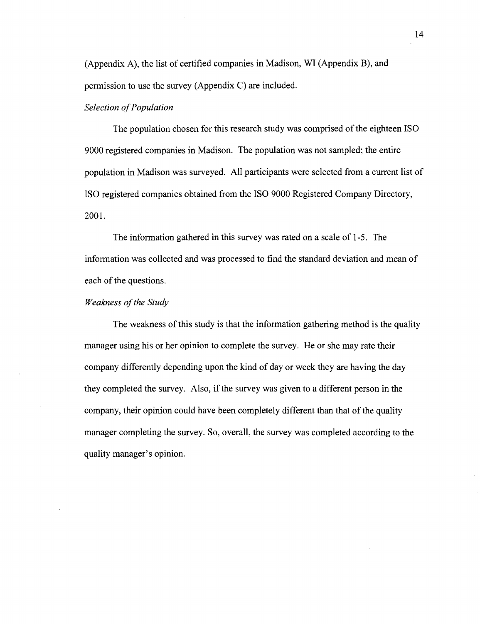(Appendix A), the list of certified companies in Madison, WI (Appendix B), and permission to use the survey (Appendix C) are included.

## *Selection of Population*

The population chosen for this research study was comprised of the eighteen IS0 9000 registered companies in Madison. The population was not sampled; the entire population in Madison was surveyed. All participants were selected from a current list of IS0 registered companies obtained from the IS0 9000 Registered Company Directory, 2001.

The information gathered in this survey was rated on a scale of 1-5. The information was collected and was processed to find the standard deviation and mean of each of the questions.

#### *Weakness of the Study*

The weakness of this study is that the information gathering method is the quality manager using his or her opinion to complete the survey. He or she may rate their company differently depending upon the kind of day or week they are having the day they completed the survey. Also, if the survey was given to a different person in the company, their opinion could have been completely different than that of the quality manager completing the survey. So, overall, the survey was completed according to the quality manager's opinion.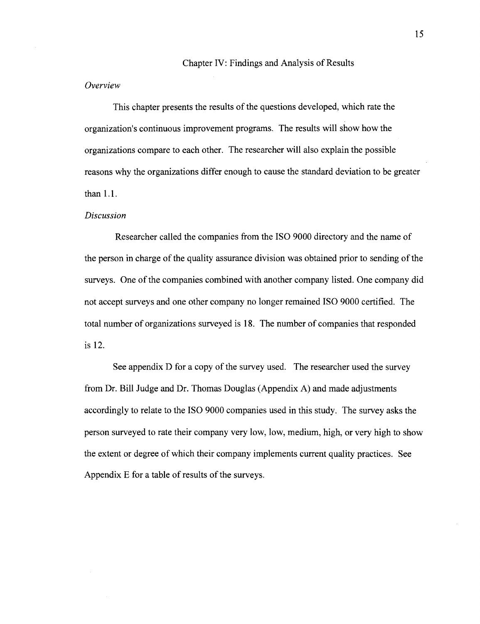#### Chapter IV: Findings and Analysis of Results

## *Overview*

This chapter presents the results of the questions developed, which rate the organization's continuous improvement programs. The results will show how the organizations compare to each other. The researcher will also explain the possible reasons why the organizations differ enough to cause the standard deviation to be greater than 1.1.

#### *Discussion*

Researcher called the companies from the IS0 9000 directory and the name of the person in charge of the quality assurance division was obtained prior to sending of the surveys. One of the companies combined with another company listed. One company did not accept surveys and one other company no longer remained IS0 9000 certified. The total number of organizations surveyed is 18. The number of companies that responded is 12.

See appendix D for a copy of the survey used. The researcher used the survey from Dr. Bill Judge and Dr. Thomas Douglas (Appendix A) and made adjustments accordingly to relate to the IS0 9000 companies used in this study. The survey asks the person surveyed to rate their company very low, low, medium, high, or very high to show the extent or degree of which their company implements current quality practices. See Appendix E for a table of results of the surveys.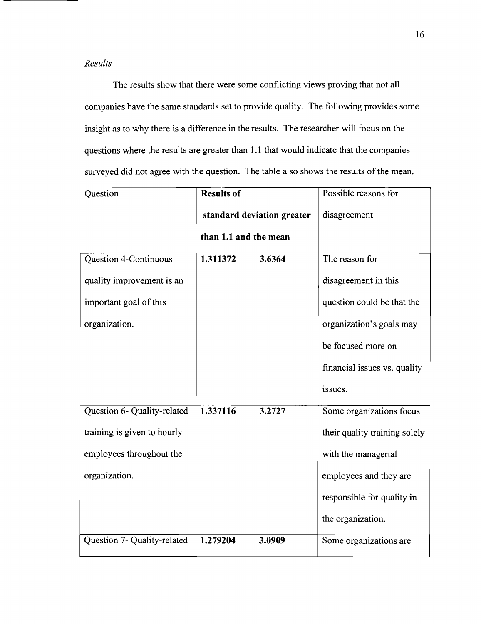## *Results*

The results show that there were some conflicting views proving that not all companies have the same standards set to provide quality. The following provides some insight as to why there is a difference in the results. The researcher will focus on the questions where the results are greater than 1.1 that would indicate that the companies surveyed did not agree with the question. The table also shows the results of the mean.

| Question                    | <b>Results of</b>          |        | Possible reasons for          |
|-----------------------------|----------------------------|--------|-------------------------------|
|                             | standard deviation greater |        | disagreement                  |
|                             | than 1.1 and the mean      |        |                               |
| Question 4-Continuous       | 1.311372                   | 3.6364 | The reason for                |
| quality improvement is an   |                            |        | disagreement in this          |
| important goal of this      |                            |        | question could be that the    |
| organization.               |                            |        | organization's goals may      |
|                             |                            |        | be focused more on            |
|                             |                            |        | financial issues vs. quality  |
|                             |                            |        | issues.                       |
| Question 6- Quality-related | 1.337116                   | 3.2727 | Some organizations focus      |
| training is given to hourly |                            |        | their quality training solely |
| employees throughout the    |                            |        | with the managerial           |
| organization.               |                            |        | employees and they are        |
|                             |                            |        | responsible for quality in    |
|                             |                            |        | the organization.             |
| Question 7- Quality-related | 1.279204                   | 3.0909 | Some organizations are        |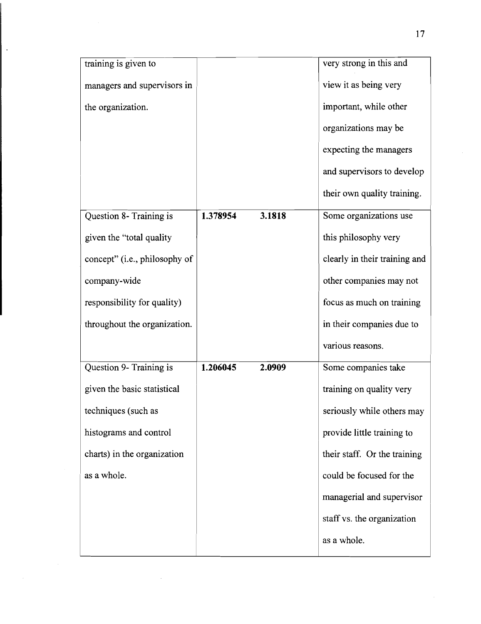|                               |        | very strong in this and       |  |  |
|-------------------------------|--------|-------------------------------|--|--|
| managers and supervisors in   |        | view it as being very         |  |  |
|                               |        | important, while other        |  |  |
|                               |        | organizations may be          |  |  |
|                               |        | expecting the managers        |  |  |
|                               |        | and supervisors to develop    |  |  |
|                               |        | their own quality training.   |  |  |
| 1.378954                      | 3.1818 | Some organizations use        |  |  |
|                               |        | this philosophy very          |  |  |
| concept" (i.e., philosophy of |        | clearly in their training and |  |  |
|                               |        | other companies may not       |  |  |
|                               |        | focus as much on training     |  |  |
|                               |        | in their companies due to     |  |  |
|                               |        | various reasons.              |  |  |
| 1.206045                      | 2.0909 | Some companies take           |  |  |
|                               |        | training on quality very      |  |  |
|                               |        | seriously while others may    |  |  |
|                               |        | provide little training to    |  |  |
|                               |        | their staff. Or the training  |  |  |
|                               |        | could be focused for the      |  |  |
|                               |        | managerial and supervisor     |  |  |
|                               |        | staff vs. the organization    |  |  |
|                               |        | as a whole.                   |  |  |
|                               |        |                               |  |  |

 $\overline{\phantom{a}}$ 

 $\ddot{\phantom{1}}$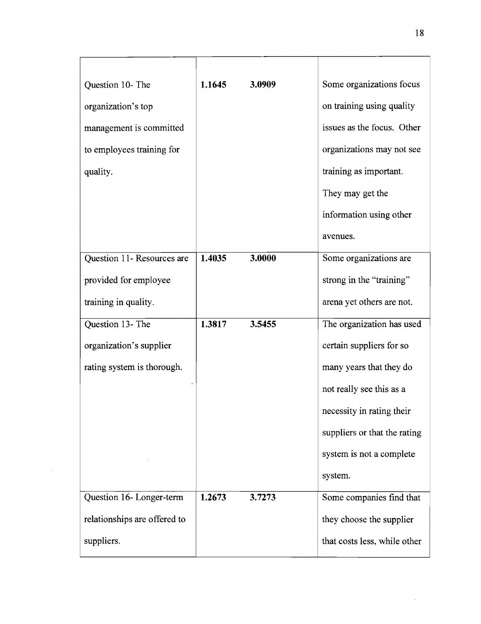| Question 10- The             | 1.1645 | 3.0909 | Some organizations focus     |  |  |
|------------------------------|--------|--------|------------------------------|--|--|
| organization's top           |        |        | on training using quality    |  |  |
| management is committed      |        |        | issues as the focus. Other   |  |  |
| to employees training for    |        |        | organizations may not see    |  |  |
| quality.                     |        |        | training as important.       |  |  |
|                              |        |        | They may get the             |  |  |
|                              |        |        | information using other      |  |  |
|                              |        |        | avenues.                     |  |  |
| Question 11- Resources are   | 1.4035 | 3.0000 | Some organizations are       |  |  |
| provided for employee        |        |        | strong in the "training"     |  |  |
| training in quality.         |        |        | arena yet others are not.    |  |  |
| Question 13- The             | 1.3817 | 3.5455 | The organization has used    |  |  |
| organization's supplier      |        |        | certain suppliers for so     |  |  |
| rating system is thorough.   |        |        | many years that they do      |  |  |
|                              |        |        | not really see this as a     |  |  |
|                              |        |        | necessity in rating their    |  |  |
|                              |        |        | suppliers or that the rating |  |  |
|                              |        |        | system is not a complete     |  |  |
|                              |        |        | system.                      |  |  |
| Question 16- Longer-term     | 1.2673 | 3.7273 | Some companies find that     |  |  |
| relationships are offered to |        |        | they choose the supplier     |  |  |
| suppliers.                   |        |        | that costs less, while other |  |  |

 $\hat{\boldsymbol{\theta}}$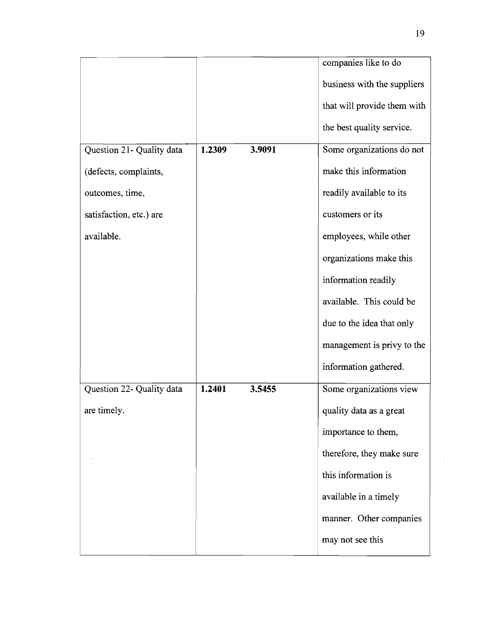|                           |        |        | companies like to do        |
|---------------------------|--------|--------|-----------------------------|
|                           |        |        | business with the suppliers |
|                           |        |        | that will provide them with |
|                           |        |        | the best quality service.   |
| Question 21- Quality data | 1.2309 | 3.9091 | Some organizations do not   |
| (defects, complaints,     |        |        | make this information       |
| outcomes, time,           |        |        | readily available to its    |
| satisfaction, etc.) are   |        |        | customers or its            |
| available.                |        |        | employees, while other      |
|                           |        |        | organizations make this     |
|                           |        |        | information readily         |
|                           |        |        | available. This could be    |
|                           |        |        | due to the idea that only   |
|                           |        |        | management is privy to the  |
|                           |        |        | information gathered.       |
| Question 22- Quality data | 1.2401 | 3.5455 | Some organizations view     |
| are timely.               |        |        | quality data as a great     |
|                           |        |        | importance to them,         |
|                           |        |        | therefore, they make sure   |
|                           |        |        | this information is         |
|                           |        |        | available in a timely       |
|                           |        |        | manner. Other companies     |
|                           |        |        | may not see this            |
|                           |        |        |                             |

 $\bar{\mathcal{L}}$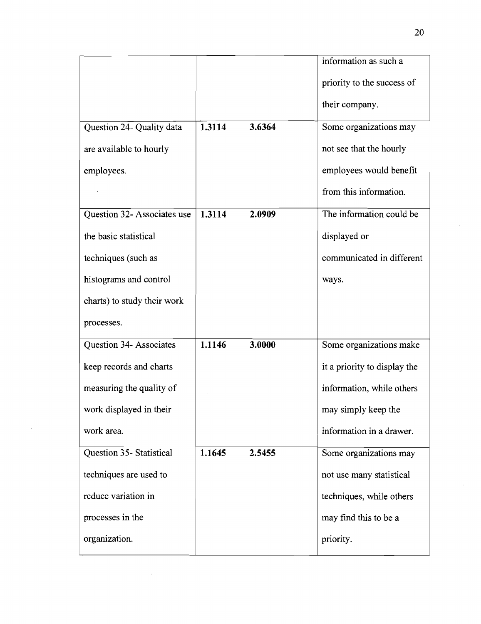|                             |        |        | information as such a        |
|-----------------------------|--------|--------|------------------------------|
|                             |        |        | priority to the success of   |
|                             |        |        | their company.               |
| Question 24- Quality data   | 1.3114 | 3.6364 | Some organizations may       |
| are available to hourly     |        |        | not see that the hourly      |
| employees.                  |        |        | employees would benefit      |
|                             |        |        | from this information.       |
| Question 32- Associates use | 1.3114 | 2.0909 | The information could be     |
| the basic statistical       |        |        | displayed or                 |
| techniques (such as         |        |        | communicated in different    |
| histograms and control      |        |        | ways.                        |
| charts) to study their work |        |        |                              |
| processes.                  |        |        |                              |
| Question 34- Associates     | 1.1146 | 3.0000 | Some organizations make      |
| keep records and charts     |        |        | it a priority to display the |
| measuring the quality of    |        |        | information, while others    |
| work displayed in their     |        |        | may simply keep the          |
| work area.                  |        |        | information in a drawer.     |
| Question 35- Statistical    | 1.1645 | 2.5455 | Some organizations may       |
| techniques are used to      |        |        | not use many statistical     |
| reduce variation in         |        |        | techniques, while others     |
| processes in the            |        |        | may find this to be a        |
| organization.               |        |        | priority.                    |

 $\mathcal{A}^{\mathcal{A}}$ 

 $\sim$   $\sim$ 

 $\sim$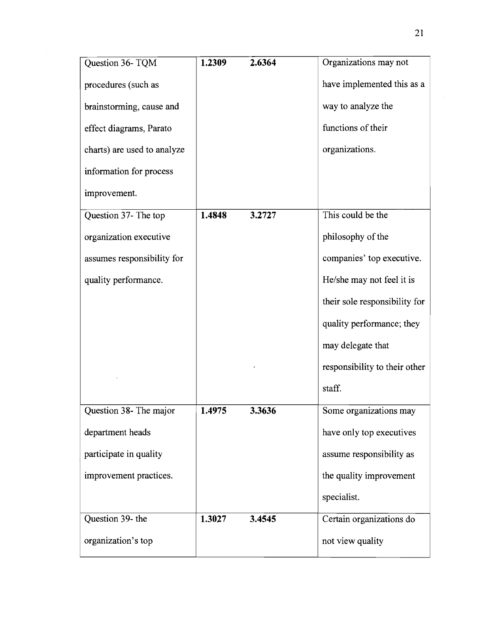| Question 36- TQM            | 1.2309 | 2.6364 | Organizations may not         |
|-----------------------------|--------|--------|-------------------------------|
| procedures (such as         |        |        | have implemented this as a    |
| brainstorming, cause and    |        |        | way to analyze the            |
| effect diagrams, Parato     |        |        | functions of their            |
| charts) are used to analyze |        |        | organizations.                |
| information for process     |        |        |                               |
| improvement.                |        |        |                               |
| Question 37- The top        | 1.4848 | 3.2727 | This could be the             |
| organization executive      |        |        | philosophy of the             |
| assumes responsibility for  |        |        | companies' top executive.     |
| quality performance.        |        |        | He/she may not feel it is     |
|                             |        |        | their sole responsibility for |
|                             |        |        | quality performance; they     |
|                             |        |        | may delegate that             |
|                             |        |        | responsibility to their other |
|                             |        |        | staff.                        |
| Question 38- The major      | 1.4975 | 3.3636 | Some organizations may        |
| department heads            |        |        | have only top executives      |
| participate in quality      |        |        | assume responsibility as      |
| improvement practices.      |        |        | the quality improvement       |
|                             |        |        | specialist.                   |
| Question 39- the            | 1.3027 | 3.4545 | Certain organizations do      |
| organization's top          |        |        | not view quality              |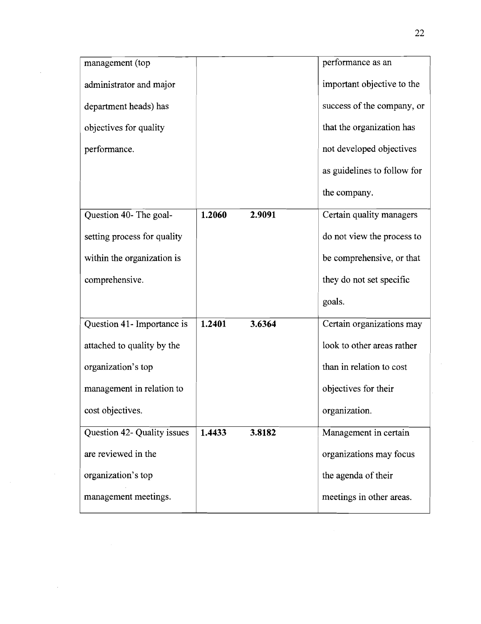| management (top             |        |        | performance as an           |
|-----------------------------|--------|--------|-----------------------------|
| administrator and major     |        |        | important objective to the  |
| department heads) has       |        |        | success of the company, or  |
| objectives for quality      |        |        | that the organization has   |
| performance.                |        |        | not developed objectives    |
|                             |        |        | as guidelines to follow for |
|                             |        |        | the company.                |
| Question 40- The goal-      | 1.2060 | 2.9091 | Certain quality managers    |
| setting process for quality |        |        | do not view the process to  |
| within the organization is  |        |        | be comprehensive, or that   |
| comprehensive.              |        |        | they do not set specific    |
|                             |        |        | goals.                      |
| Question 41- Importance is  | 1.2401 | 3.6364 | Certain organizations may   |
| attached to quality by the  |        |        | look to other areas rather  |
| organization's top          |        |        | than in relation to cost    |
| management in relation to   |        |        | objectives for their        |
| cost objectives.            |        |        | organization.               |
| Question 42- Quality issues | 1.4433 | 3.8182 | Management in certain       |
| are reviewed in the         |        |        | organizations may focus     |
| organization's top          |        |        | the agenda of their         |
| management meetings.        |        |        | meetings in other areas.    |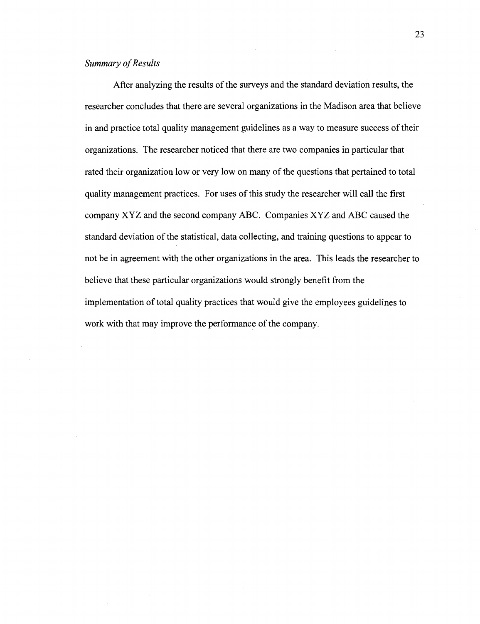## **Summary of Results**

After analyzing the results of the surveys and the standard deviation results, the researcher concludes that there are several organizations in the Madison area that believe in and practice total quality management guidelines as a way to measure success of their organizations. The researcher noticed that there are two companies in particular that rated their organization low or very low on many of the questions that pertained to total quality management practices. For uses of this study the researcher will call the first company XYZ and the second company ABC. Companies XYZ and ABC caused the standard deviation of the statistical, data collecting, and training questions to appear to not be in agreement with the other organizations in the area. This leads the researcher to believe that these particular organizations would strongly benefit from the implementation of total quality practices that would give the employees guidelines to work with that may improve the performance of the company.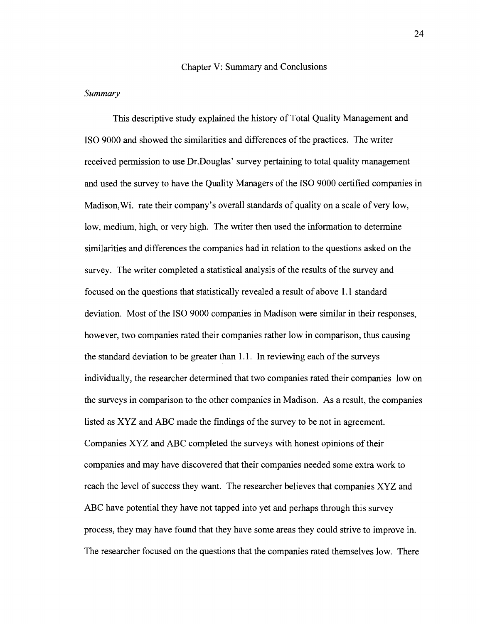#### Chapter V: Summary and Conclusions

#### *Summary*

This descriptive study explained the history of Total Quality Management and IS0 9000 and showed the similarities and differences of the practices. The writer received permission to use Dr.Douglas' survey pertaining to total quality management and used the survey to have the Quality Managers of the IS0 9000 certified companies in Madison,Wi. rate their company's overall standards of quality on a scale of very low, low, medium, high, or very high. The writer then used the information to determine similarities and differences the companies had in relation to the questions asked on the survey. The writer completed a statistical analysis of the results of the survey and focused on the questions that statistically revealed a result of above 1.1 standard deviation. Most of the IS0 9000 companies in Madison were similar in their responses, however, two companies rated their companies rather low in comparison, thus causing the standard deviation to be greater than 1.1. In reviewing each of the surveys individually, the researcher determined that two companies rated their companies low on the surveys in comparison to the other companies in Madison. As a result, the companies listed as XYZ and ABC made the findings of the survey to be not in agreement. Companies XYZ and ABC completed the surveys with honest opinions of their companies and may have discovered that their companies needed some extra work to reach the level of success they want. The researcher believes that companies XYZ and ABC have potential they have not tapped into yet and perhaps through this survey process, they may have found that they have some areas they could strive to improve in. The researcher focused on the questions that the companies rated themselves low. There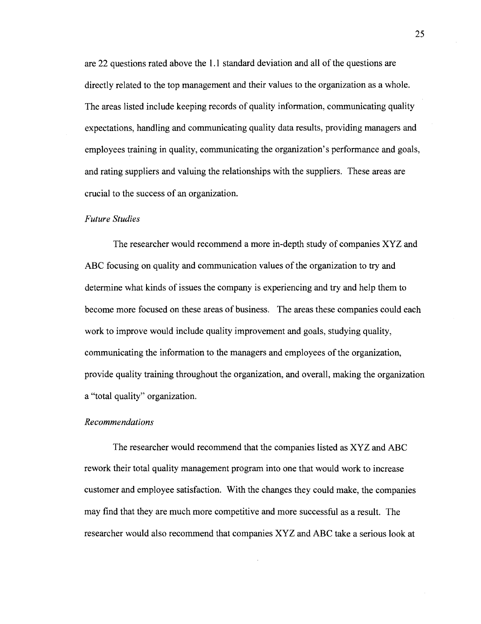are 22 questions rated above the 1.1 standard deviation and all of the questions are directly related to the top management and their values to the organization as a whole. The areas listed include keeping records of quality information, communicating quality expectations, handling and communicating quality data results, providing managers and employees training in quality, communicating the organization's performance and goals, and rating suppliers and valuing the relationships with the suppliers. These areas are crucial to the success of an organization.

#### *Future Studies*

The researcher would recommend a more in-depth study of companies XYZ and **ABC** focusing on quality and communication values of the organization to **try** and determine what kinds of issues the company is experiencing and try and help them to become more focused on these areas of business. The areas these companies could each work to improve would include quality improvement and goals, studying quality, communicating the information to the managers and employees of the organization, provide quality training throughout the organization, and overall, making the organization a "total quality" organization.

#### *Recommendations*

The researcher would recommend that the companies listed as **XYZ** and **ABC**  rework their total quality management program into one that would work to increase customer and employee satisfaction. With the changes they could make, the companies may find that they are much more competitive and more successful as a result. The researcher would also recommend that companies **XYZ** and **ABC** take a serious look at

25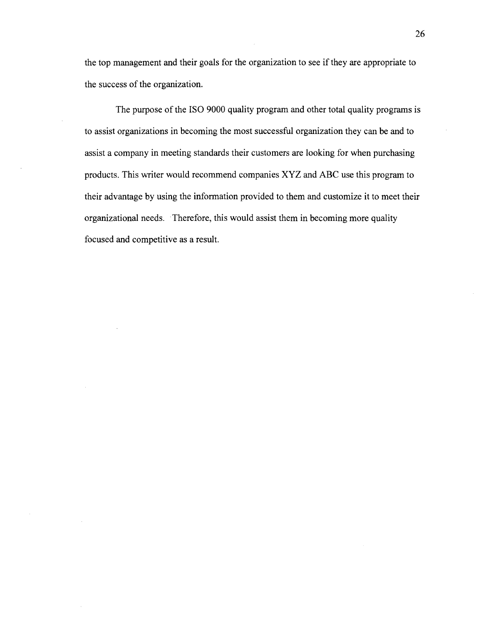the top management and their goals for the organization to see if they are appropriate to the success of the organization.

The purpose of the **IS0** 9000 quality program and other total quality programs is to assist organizations in becoming the most successful organization they can be and to assist a company in meeting standards their customers are looking for when purchasing products. This writer would recommend companies XYZ and ABC use this program to their advantage by using the information provided to them and customize it to meet their organizational needs. Therefore, this would assist them in becoming more quality focused and competitive as a result.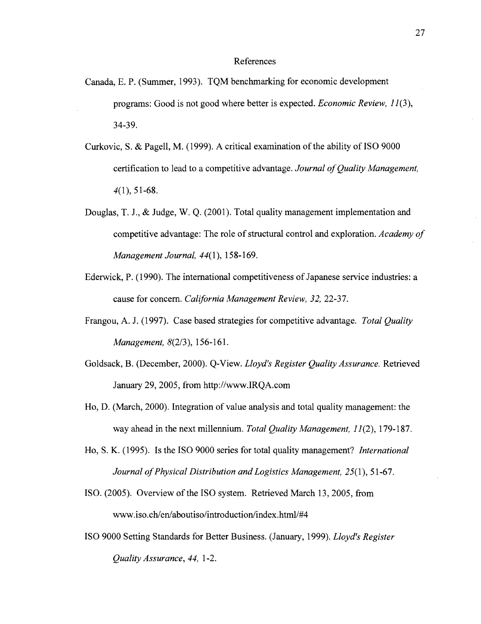#### References

- Canada, E. P. (Summer, 1993). TQM benchmarking for economic development programs: Good is not good where better is expected. *Economic Review, 11*(3), 34-39.
- Curkovic, S. & Pagell, M. (1999). A critical examination of the ability of IS0 9000 certification to lead to a competitive advantage. *Journal of Quality Management,*   $4(1)$ , 51-68.
- Douglas, T. J., & Judge, W. Q. (2001). Total quality management implementation and competitive advantage: The role of structural control and exploration. *Academy of Management Journal,* 44(1), 158- 169.
- Edenvick, P. (1990). The international competitiveness of Japanese service industries: a cause for concern. *California Management Review,* 32, 22-37.
- Frangou, A. J. (1997). Case based strategies for competitive advantage. *Total Quality Management, 8(2/3), 156-161.*
- Goldsack, B. (December, 2000). Q-View. *Lloyd's Register Quality Assurance.* Retrieved January 29,2005, from http://www.IRQA.com
- Ho, D. (March, 2000). Integration of value analysis and total quality management: the way ahead in the next millennium. *Total Quality Management, 11* (2), 179- 187.
- Ho, S. K. (1995). Is the IS0 9000 series for total quality management? *International*  Journal of Physical Distribution and Logistics Management, 25(1), 51-67.
- ISO. (2005). Overview of the IS0 system. Retrieved March 13,2005, from **www.iso.ch/en/aboutiso/introduction/index.** html/#4
- IS0 9000 Setting Standards for Better Business. (January, 1999). *Lloyd's Register Quality Assurance,* 44, 1-2.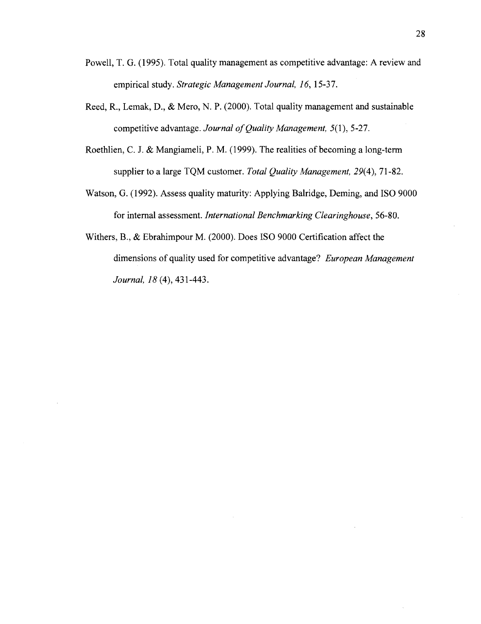- Powell, T. G. (1995). Total quality management as competitive advantage: A review and empirical study. *Strategic Management Journal,* 16, 15-37.
- Reed, R., Lemak, D., & Mero, N. P. (2000). Total quality management and sustainable competitive advantage. *Journal of Quality Management,* 5(1), 5-27.
- Roethlien, C. J. & Mangiameli, P. M. (1999). The realities of becoming a long-term supplier to a large TQM customer. *Total Quality Management,* 29(4), 71 -82.
- Watson, G. (1992). Assess quality maturity: Applying Balridge, Deming, and **IS0** 9000 for internal assessment. *International Benchmarking Clearinghouse,* 56-80.
- Withers, B., & Ebrahimpour M. (2000). Does **IS0** 9000 Certification affect the dimensions of quality used for competitive advantage? *European Management Journal,* 18 (4), 43 1-443.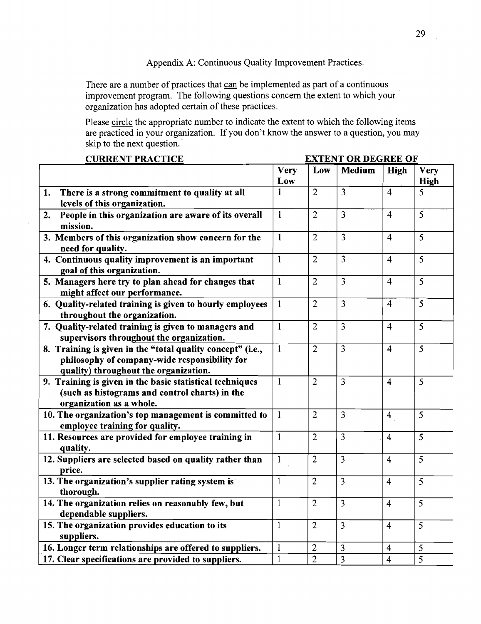Appendix A: Continuous Quality Improvement Practices.

There are a number of practices that **can** be implemented as part of a continuous improvement program. The following questions concern the extent to which your organization has adopted certain of these practices.

Please circle the appropriate number to indicate the extent to which the following items are practiced in your organization. If you don't know the answer to a question, you may skip to the next question.

| <b>CURRENT PRACTICE</b>                                             | <b>EXTENT OR DEGREE OF</b> |                |                |                         |                |
|---------------------------------------------------------------------|----------------------------|----------------|----------------|-------------------------|----------------|
|                                                                     | <b>Very</b>                | Low            | Medium         | High                    | Very           |
|                                                                     | Low                        |                |                |                         | High           |
| There is a strong commitment to quality at all<br>1.                | 1                          | $\overline{2}$ | $\overline{3}$ | $\overline{4}$          | 5              |
| levels of this organization.                                        |                            |                |                |                         |                |
| People in this organization are aware of its overall<br>2.          | $\mathbf{1}$               | $\overline{2}$ | $\overline{3}$ | $\overline{\mathbf{4}}$ | $\overline{5}$ |
| mission.                                                            |                            |                |                |                         |                |
| 3. Members of this organization show concern for the                | $\mathbf{1}$               | $\overline{2}$ | $\overline{3}$ | $\overline{4}$          | 5              |
| need for quality.                                                   |                            |                |                |                         |                |
| 4. Continuous quality improvement is an important                   | $\mathbf{1}$               | $\overline{2}$ | $\overline{3}$ | $\overline{\mathbf{4}}$ | $\overline{5}$ |
| goal of this organization.                                          |                            |                |                |                         |                |
| 5. Managers here try to plan ahead for changes that                 | $\mathbf{1}$               | $\overline{2}$ | $\overline{3}$ | $\overline{4}$          | 5              |
| might affect our performance.                                       |                            |                |                |                         |                |
| 6. Quality-related training is given to hourly employees            | $\mathbf{1}$               | $\overline{2}$ | $\overline{3}$ | $\overline{4}$          | 5              |
| throughout the organization.                                        |                            |                |                |                         |                |
| 7. Quality-related training is given to managers and                | $\mathbf{1}$               | $\overline{2}$ | $\overline{3}$ | $\overline{4}$          | 5              |
| supervisors throughout the organization.                            |                            |                |                |                         |                |
| 8. Training is given in the "total quality concept" (i.e.,          | $\mathbf{1}$               | $\overline{2}$ | $\overline{3}$ | $\overline{4}$          | 5              |
| philosophy of company-wide responsibility for                       |                            |                |                |                         |                |
| quality) throughout the organization.                               |                            |                |                |                         |                |
| 9. Training is given in the basic statistical techniques            | $\mathbf{1}$               | $\overline{2}$ | $\overline{3}$ | $\overline{4}$          | 5              |
| (such as histograms and control charts) in the                      |                            |                |                |                         |                |
| organization as a whole.                                            |                            |                |                |                         |                |
| 10. The organization's top management is committed to               | $\mathbf{1}$               | $\overline{2}$ | $\overline{3}$ | $\overline{\mathbf{4}}$ | 5              |
| employee training for quality.                                      |                            | $\overline{2}$ |                |                         |                |
| 11. Resources are provided for employee training in                 | $\mathbf{1}$               |                | 3              | $\overline{4}$          | 5              |
| quality.<br>12. Suppliers are selected based on quality rather than | $\mathbf{1}$               | $\overline{2}$ | 3              | $\overline{4}$          | 5              |
| price.                                                              |                            |                |                |                         |                |
| 13. The organization's supplier rating system is                    | $\mathbf{1}$               | $\overline{2}$ | $\overline{3}$ | $\overline{4}$          | 5              |
| thorough.                                                           |                            |                |                |                         |                |
| 14. The organization relies on reasonably few, but                  | $\mathbf{1}$               | $\overline{2}$ | 3              | $\overline{4}$          | 5              |
| dependable suppliers.                                               |                            |                |                |                         |                |
| 15. The organization provides education to its                      | $\mathbf{1}$               | $\overline{2}$ | $\overline{3}$ | $\overline{4}$          | 5              |
| suppliers.                                                          |                            |                |                |                         |                |
| 16. Longer term relationships are offered to suppliers.             | $\mathbf{1}$               | $\overline{2}$ | 3              | $\overline{4}$          | 5              |
| 17. Clear specifications are provided to suppliers.                 | $\mathbf{1}$               | $\overline{2}$ | $\overline{3}$ | $\overline{4}$          | $\overline{5}$ |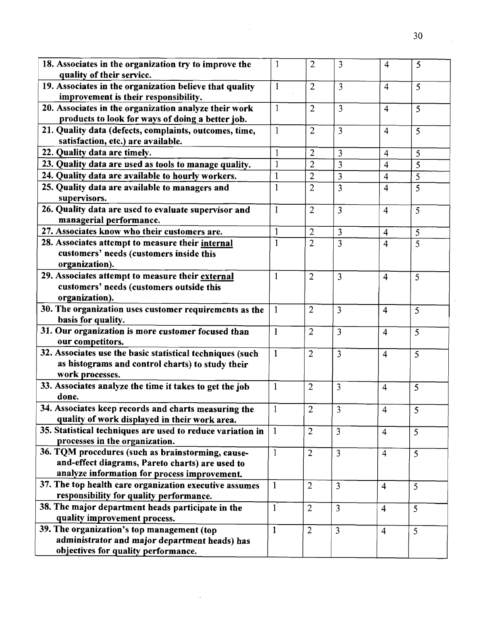| 18. Associates in the organization try to improve the<br>quality of their service.                                                                   | $\mathbf{1}$   | $\overline{2}$ | $\overline{3}$          | $\overline{4}$ | 5              |
|------------------------------------------------------------------------------------------------------------------------------------------------------|----------------|----------------|-------------------------|----------------|----------------|
| 19. Associates in the organization believe that quality<br>improvement is their responsibility.                                                      | $\mathbf{I}$   | $\overline{2}$ | $\overline{3}$          | $\overline{4}$ | 5              |
| 20. Associates in the organization analyze their work<br>products to look for ways of doing a better job.                                            | $\mathbf{1}$   | $\overline{2}$ | $\overline{3}$          | $\overline{4}$ | 5              |
| 21. Quality data (defects, complaints, outcomes, time,<br>satisfaction, etc.) are available.                                                         | $\mathbf{1}$   | $\overline{2}$ | $\overline{3}$          | $\overline{4}$ | 5              |
| 22. Quality data are timely.                                                                                                                         | $\mathbf{1}$   | $\overline{2}$ | 3                       | $\overline{4}$ | 5              |
| 23. Quality data are used as tools to manage quality.                                                                                                | $\mathbf{1}$   | $\overline{2}$ | 3                       | 4              | 5              |
| 24. Quality data are available to hourly workers.                                                                                                    | 1              | $\overline{2}$ | 3                       | $\overline{4}$ | 5              |
| 25. Quality data are available to managers and<br>supervisors.                                                                                       | $\mathbf{1}$   | $\overline{2}$ | 3                       | $\overline{4}$ | 5              |
| 26. Quality data are used to evaluate supervisor and<br>managerial performance.                                                                      | $\mathbf{1}$   | 2              | 3                       | $\overline{4}$ | 5              |
| 27. Associates know who their customers are.                                                                                                         | $\mathbf{1}$   | $\overline{2}$ | 3                       | $\overline{4}$ | 5              |
| 28. Associates attempt to measure their internal<br>customers' needs (customers inside this<br>organization).                                        | 1              | $\overline{2}$ | 3                       | $\overline{4}$ | 5              |
| 29. Associates attempt to measure their external<br>customers' needs (customers outside this<br>organization).                                       | 1              | $\overline{2}$ | $\overline{3}$          | $\overline{4}$ | 5              |
| 30. The organization uses customer requirements as the<br>basis for quality.                                                                         | $\mathbf 1$    | $\overline{2}$ | 3                       | $\overline{4}$ | 5              |
| 31. Our organization is more customer focused than<br>our competitors.                                                                               | 1              | $\overline{2}$ | $\overline{3}$          | $\overline{4}$ | 5              |
| 32. Associates use the basic statistical techniques (such<br>as histograms and control charts) to study their<br>work processes.                     | $\mathbf{1}$   | $\overline{2}$ | 3                       | $\overline{4}$ | 5              |
| 33. Associates analyze the time it takes to get the job<br>done.                                                                                     | $\mathbf{1}$   | $\overline{2}$ | 3                       | $\overline{4}$ | 5              |
| 34. Associates keep records and charts measuring the<br>quality of work displayed in their work area.                                                | $\mathbf{1}$   | $\overline{2}$ | $\overline{\mathbf{3}}$ | $\overline{4}$ | 5              |
| 35. Statistical techniques are used to reduce variation in<br>processes in the organization.                                                         | $\mathbf{1}$   | $\overline{2}$ | 3                       | $\overline{4}$ | 5              |
| 36. TQM procedures (such as brainstorming, cause-<br>and-effect diagrams, Pareto charts) are used to<br>analyze information for process improvement. | $\overline{1}$ | $\overline{2}$ | $\overline{3}$          | $\overline{4}$ | $\overline{5}$ |
| 37. The top health care organization executive assumes<br>responsibility for quality performance.                                                    | $\mathbf{1}$   | $\overline{2}$ | $\overline{3}$          | $\overline{4}$ | 5              |
| 38. The major department heads participate in the<br>quality improvement process.                                                                    | $1^{\degree}$  | $\overline{2}$ | 3                       | $\overline{4}$ | 5              |
| 39. The organization's top management (top<br>administrator and major department heads) has<br>objectives for quality performance.                   | $\mathbf{1}$   | $\overline{2}$ | $\overline{3}$          | $\overline{4}$ | 5              |

 $\hat{\mathcal{A}}$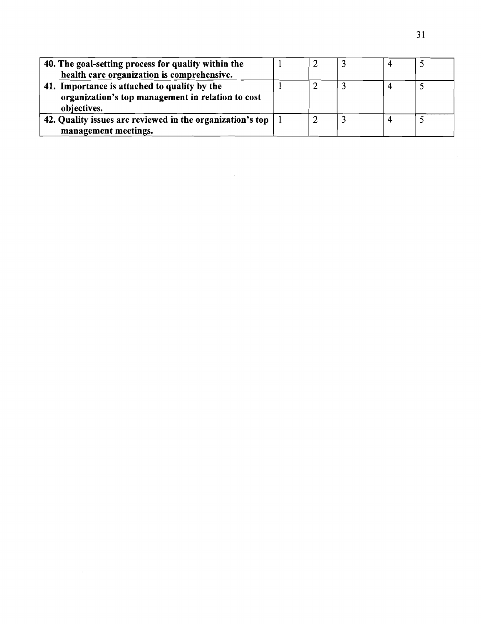| 40. The goal-setting process for quality within the       |  |  |  |
|-----------------------------------------------------------|--|--|--|
| health care organization is comprehensive.                |  |  |  |
| 41. Importance is attached to quality by the              |  |  |  |
| organization's top management in relation to cost         |  |  |  |
| objectives.                                               |  |  |  |
| 42. Quality issues are reviewed in the organization's top |  |  |  |
| management meetings.                                      |  |  |  |

 $\mathcal{L}^{\text{max}}_{\text{max}}$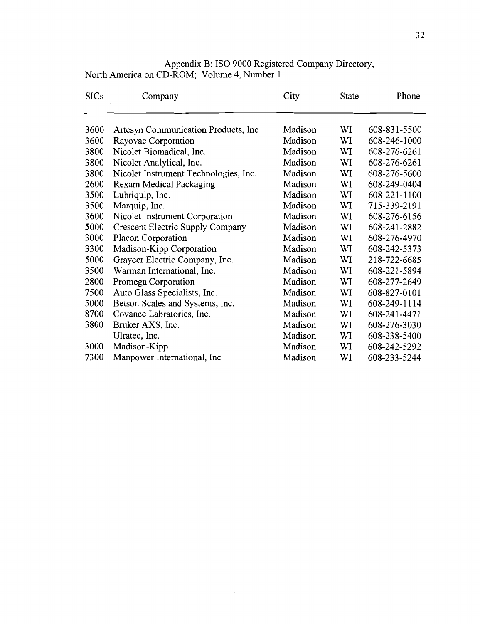| <b>SICs</b> | Company                                 | City    | <b>State</b> | Phone        |
|-------------|-----------------------------------------|---------|--------------|--------------|
| 3600        | Artesyn Communication Products, Inc.    | Madison | WI           | 608-831-5500 |
| 3600        | Rayovac Corporation                     | Madison | WI           | 608-246-1000 |
| 3800        | Nicolet Biomadical, Inc.                | Madison | WI           | 608-276-6261 |
| 3800        | Nicolet Analylical, Inc.                | Madison | WI           | 608-276-6261 |
| 3800        | Nicolet Instrument Technologies, Inc.   | Madison | WI           | 608-276-5600 |
| 2600        | <b>Rexam Medical Packaging</b>          | Madison | WI           | 608-249-0404 |
| 3500        | Lubriquip, Inc.                         | Madison | WI           | 608-221-1100 |
| 3500        | Marquip, Inc.                           | Madison | WI           | 715-339-2191 |
| 3600        | Nicolet Instrument Corporation          | Madison | WI           | 608-276-6156 |
| 5000        | <b>Crescent Electric Supply Company</b> | Madison | WI           | 608-241-2882 |
| 3000        | Placon Corporation                      | Madison | WI           | 608-276-4970 |
| 3300        | Madison-Kipp Corporation                | Madison | WI           | 608-242-5373 |
| 5000        | Graycer Electric Company, Inc.          | Madison | WI           | 218-722-6685 |
| 3500        | Warman International, Inc.              | Madison | WI           | 608-221-5894 |
| 2800        | Promega Corporation                     | Madison | WI           | 608-277-2649 |
| 7500        | Auto Glass Specialists, Inc.            | Madison | WI           | 608-827-0101 |
| 5000        | Betson Scales and Systems, Inc.         | Madison | WI           | 608-249-1114 |
| 8700        | Covance Labratories, Inc.               | Madison | WI           | 608-241-4471 |
| 3800        | Bruker AXS, Inc.                        | Madison | WI           | 608-276-3030 |
|             | Ulratec, Inc.                           | Madison | WI           | 608-238-5400 |
| 3000        | Madison-Kipp                            | Madison | WI           | 608-242-5292 |
| 7300        | Manpower International, Inc.            | Madison | WI           | 608-233-5244 |

 $\sim$ 

Appendix B: IS0 9000 Registered Company Directory, North America on CD-ROM; Volume 4, Number 1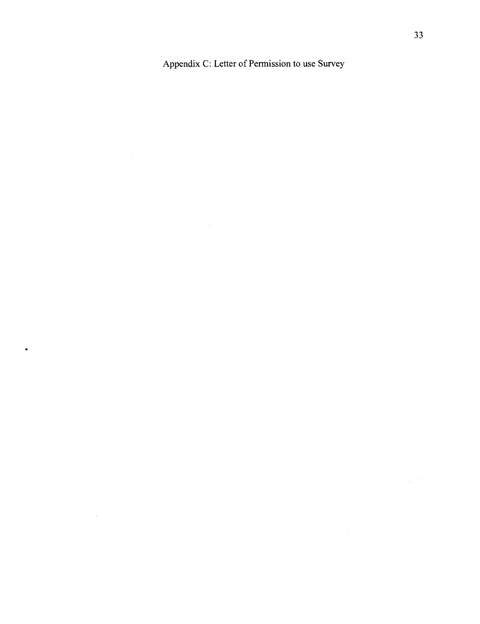Appendix C: Letter of Permission to use Survey

 $\mathcal{L}^{\text{max}}_{\text{max}}$  and  $\mathcal{L}^{\text{max}}_{\text{max}}$ 

 $\bullet$ 

 $\mathcal{L}^{\text{max}}_{\text{max}}$ 

 $\label{eq:2} \frac{1}{\sqrt{2}}\left(\frac{1}{\sqrt{2}}\right)^{2} \frac{d\theta}{d\theta}$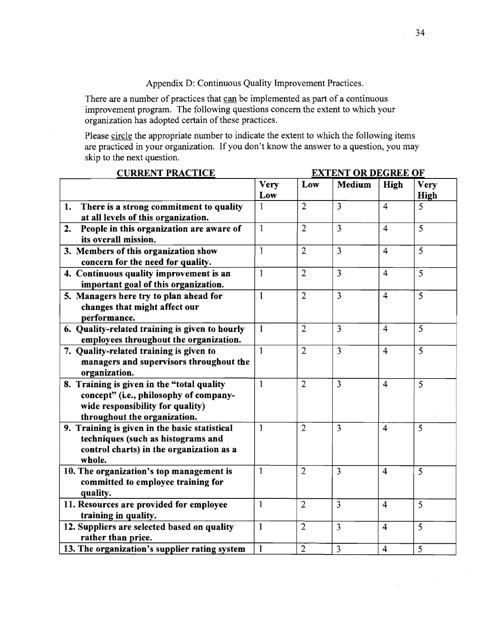Appendix D: Continuous Quality Improvement Practices.

There are a number of practices that can be implemented as part of a continuous improvement program. The following questions concern the extent to which your organization has adopted certain of these practices.

Please circle the appropriate number to indicate the extent to which the following items are practiced in your organization. If you don't know the answer to a question, you may skip to the next question.

| <b>CURRENT PRACTICE</b>                                                                                                                                  | <b>EXTENT OR DEGREE OF</b> |                |                |                         |                     |
|----------------------------------------------------------------------------------------------------------------------------------------------------------|----------------------------|----------------|----------------|-------------------------|---------------------|
|                                                                                                                                                          | <b>Very</b><br>Low         | Low            | <b>Medium</b>  | High                    | <b>Very</b><br>High |
| There is a strong commitment to quality<br>1.<br>at all levels of this organization.                                                                     | 1                          | $\overline{2}$ | $\overline{3}$ | $\overline{4}$          | 5                   |
| People in this organization are aware of<br>2.<br>its overall mission.                                                                                   | $\mathbf{1}$               | $\overline{2}$ | $\overline{3}$ | $\overline{4}$          | $\overline{5}$      |
| 3. Members of this organization show<br>concern for the need for quality.                                                                                | $\mathbf{1}$               | $\overline{2}$ | $\overline{3}$ | $\overline{4}$          | 5                   |
| 4. Continuous quality improvement is an<br>important goal of this organization.                                                                          | $\mathbf{1}$               | $\overline{2}$ | 3 <sup>1</sup> | $\overline{4}$          | $\overline{5}$      |
| 5. Managers here try to plan ahead for<br>changes that might affect our<br>performance.                                                                  | $\mathbf{1}$               | $\overline{2}$ | 3              | $\overline{4}$          | 5                   |
| 6. Quality-related training is given to hourly<br>employees throughout the organization.                                                                 | $\mathbf{1}$               | $\overline{2}$ | 3              | $\overline{4}$          | $\overline{5}$      |
| 7. Quality-related training is given to<br>managers and supervisors throughout the<br>organization.                                                      | $\mathbf{1}$               | $\overline{2}$ | $\overline{3}$ | $\overline{4}$          | $\overline{5}$      |
| 8. Training is given in the "total quality<br>concept" (i.e., philosophy of company-<br>wide responsibility for quality)<br>throughout the organization. | $\mathbf{1}$               | $\overline{2}$ | $\overline{3}$ | $\overline{4}$          | 5                   |
| 9. Training is given in the basic statistical<br>techniques (such as histograms and<br>control charts) in the organization as a<br>whole.                | $\mathbf{1}$               | $\overline{2}$ | 3              | $\overline{4}$          | $\overline{5}$      |
| 10. The organization's top management is<br>committed to employee training for<br>quality.                                                               | $\mathbf{1}$               | $\overline{2}$ | $\overline{3}$ | $\overline{4}$          | 5                   |
| 11. Resources are provided for employee<br>training in quality.                                                                                          | $\mathbf{1}$               | $\overline{2}$ | $\overline{3}$ | $\overline{4}$          | $\overline{5}$      |
| 12. Suppliers are selected based on quality<br>rather than price.                                                                                        | $\mathbf{1}$               | $\overline{2}$ | 3              | $\overline{\mathbf{4}}$ | $\overline{5}$      |
| 13. The organization's supplier rating system                                                                                                            | $\mathbf{1}$               | $\overline{2}$ | $\overline{3}$ | $\overline{4}$          | $\overline{5}$      |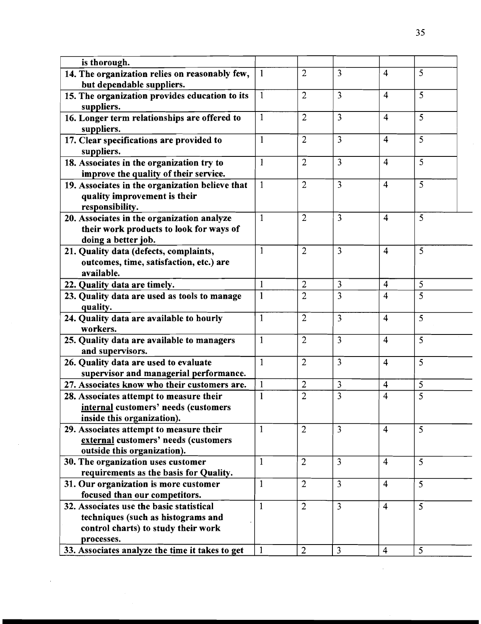| is thorough.                                    |              |                |                |                         |                |
|-------------------------------------------------|--------------|----------------|----------------|-------------------------|----------------|
| 14. The organization relies on reasonably few,  | $\mathbf{1}$ | $\overline{2}$ | $\overline{3}$ | $\overline{4}$          | 5              |
| but dependable suppliers.                       |              |                |                |                         |                |
| 15. The organization provides education to its  | $\cdot 1$    | $\overline{2}$ | $\overline{3}$ | $\overline{4}$          | 5              |
| suppliers.                                      |              |                |                |                         |                |
| 16. Longer term relationships are offered to    | $\mathbf{1}$ | $\overline{2}$ | 3              | $\overline{4}$          | 5              |
| suppliers.                                      |              |                |                |                         |                |
| 17. Clear specifications are provided to        | $\mathbf{1}$ | $\overline{2}$ | 3              | $\overline{4}$          | 5              |
| suppliers.                                      |              |                |                |                         |                |
| 18. Associates in the organization try to       | $\mathbf{1}$ | $\overline{2}$ | $\overline{3}$ | $\overline{4}$          | 5              |
| improve the quality of their service.           |              |                |                |                         |                |
| 19. Associates in the organization believe that | $\mathbf{1}$ | $\overline{2}$ | 3              | $\overline{4}$          | 5              |
| quality improvement is their                    |              |                |                |                         |                |
| responsibility.                                 |              |                |                |                         |                |
| 20. Associates in the organization analyze      | $\mathbf{1}$ | $\overline{2}$ | $\overline{3}$ | $\overline{4}$          | 5              |
| their work products to look for ways of         |              |                |                |                         |                |
| doing a better job.                             |              |                |                |                         |                |
| 21. Quality data (defects, complaints,          | $\mathbf{1}$ | $\overline{2}$ | $\overline{3}$ | $\overline{4}$          | 5              |
| outcomes, time, satisfaction, etc.) are         |              |                |                |                         |                |
| available.                                      |              |                |                |                         |                |
| 22. Quality data are timely.                    | $\mathbf{1}$ | $\overline{2}$ | 3              | $\overline{4}$          | 5              |
| 23. Quality data are used as tools to manage    | $\mathbf{1}$ | $\overline{2}$ | 3              | 4                       | $\overline{5}$ |
| quality.                                        |              |                |                |                         |                |
| 24. Quality data are available to hourly        | $\mathbf{1}$ | $\overline{2}$ | $\overline{3}$ | $\overline{4}$          | 5              |
| workers.                                        |              |                |                |                         |                |
| 25. Quality data are available to managers      | $\mathbf{1}$ | $\overline{2}$ | $\overline{3}$ | $\overline{4}$          | 5              |
| and supervisors.                                |              |                |                |                         |                |
| 26. Quality data are used to evaluate           | $\mathbf{1}$ | $\overline{2}$ | $\overline{3}$ | $\overline{4}$          | $\overline{5}$ |
| supervisor and managerial performance.          |              |                |                |                         |                |
| 27. Associates know who their customers are.    | $\mathbf{1}$ | $\overline{2}$ | 3              | $\overline{4}$          | 5              |
| 28. Associates attempt to measure their         | $\mathbf{1}$ | 2              | 3              | $\overline{\mathbf{4}}$ | 5              |
| internal customers' needs (customers            |              |                |                |                         |                |
| inside this organization).                      |              |                |                |                         |                |
| 29. Associates attempt to measure their         | $\mathbf{1}$ | $\overline{2}$ | $\overline{3}$ | $\overline{4}$          | 5              |
| external customers' needs (customers            |              |                |                |                         |                |
| outside this organization).                     |              |                |                |                         |                |
| 30. The organization uses customer              | $\mathbf{1}$ | $\overline{2}$ | $\overline{3}$ | $\overline{4}$          | 5              |
| requirements as the basis for Quality.          |              |                |                |                         |                |
| 31. Our organization is more customer           | $\mathbf{1}$ | $\overline{2}$ | 3              | $\overline{4}$          | 5 <sup>5</sup> |
| focused than our competitors.                   |              |                |                |                         |                |
| 32. Associates use the basic statistical        | $\mathbf{1}$ | $\overline{2}$ | $\overline{3}$ | $\overline{4}$          | 5 <sup>1</sup> |
| techniques (such as histograms and              |              |                |                |                         |                |
| control charts) to study their work             |              |                |                |                         |                |
| processes.                                      |              |                |                |                         |                |
| 33. Associates analyze the time it takes to get | $\mathbf{1}$ | $\overline{2}$ | $\overline{3}$ | $\overline{4}$          | 5              |

 $\ddot{\phantom{0}}$ 

 $\frac{1}{2}$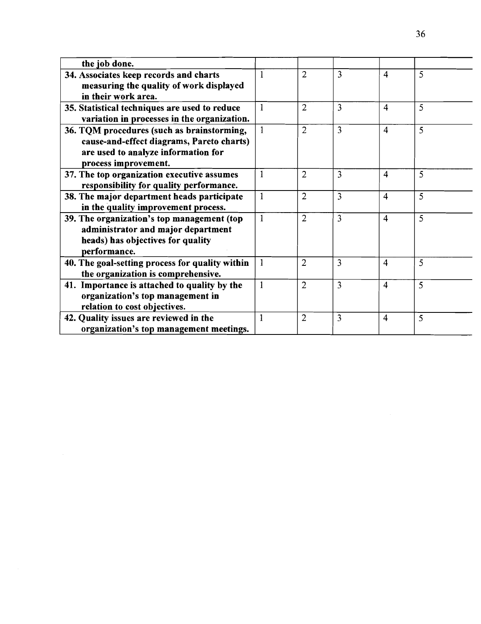| the job done.                                   |                |                |   |                         |   |
|-------------------------------------------------|----------------|----------------|---|-------------------------|---|
| 34. Associates keep records and charts          | $\mathbf{1}$   | 2              | 3 | $\overline{4}$          | 5 |
| measuring the quality of work displayed         |                |                |   |                         |   |
| in their work area.                             |                |                |   |                         |   |
| 35. Statistical techniques are used to reduce   | $\mathbf{1}$   | $\overline{2}$ | 3 | $\overline{4}$          | 5 |
| variation in processes in the organization.     |                |                |   |                         |   |
| 36. TQM procedures (such as brainstorming,      | $\overline{1}$ | $\overline{2}$ | 3 | $\overline{\mathbf{4}}$ | 5 |
| cause-and-effect diagrams, Pareto charts)       |                |                |   |                         |   |
| are used to analyze information for             |                |                |   |                         |   |
| process improvement.                            |                |                |   |                         |   |
| 37. The top organization executive assumes      | $\mathbf{1}$   | $\overline{2}$ | 3 | $\overline{4}$          | 5 |
| responsibility for quality performance.         |                |                |   |                         |   |
| 38. The major department heads participate      | $\mathbf{1}$   | $\overline{2}$ | 3 | $\overline{4}$          | 5 |
| in the quality improvement process.             |                |                |   |                         |   |
| 39. The organization's top management (top      | $\mathbf{1}$   | $\overline{2}$ | 3 | $\overline{4}$          | 5 |
| administrator and major department              |                |                |   |                         |   |
| heads) has objectives for quality               |                |                |   |                         |   |
| performance.                                    |                |                |   |                         |   |
| 40. The goal-setting process for quality within | $\mathbf{1}$   | $\overline{2}$ | 3 | 4                       | 5 |
| the organization is comprehensive.              |                |                |   |                         |   |
| 41. Importance is attached to quality by the    | $\mathbf{1}$   | $\overline{2}$ | 3 | 4                       | 5 |
| organization's top management in                |                |                |   |                         |   |
| relation to cost objectives.                    |                |                |   |                         |   |
| 42. Quality issues are reviewed in the          | $\mathbf{1}$   | 2              | 3 | $\overline{4}$          | 5 |
| organization's top management meetings.         |                |                |   |                         |   |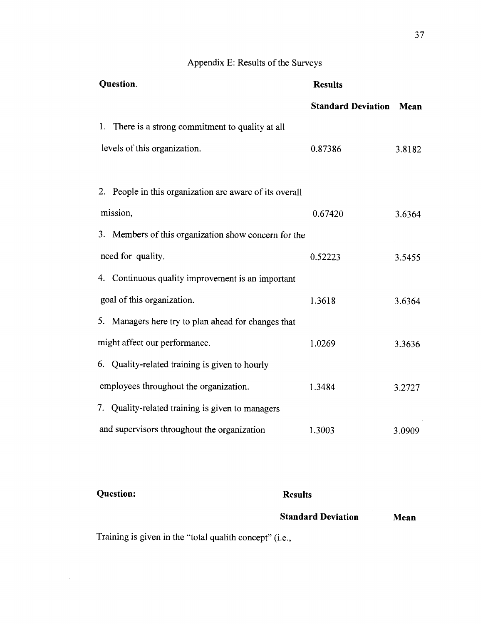## Appendix E: Results of the Surveys

| Question.                                               | <b>Results</b>            |        |
|---------------------------------------------------------|---------------------------|--------|
|                                                         | <b>Standard Deviation</b> | Mean   |
| 1. There is a strong commitment to quality at all       |                           |        |
| levels of this organization.                            | 0.87386                   | 3.8182 |
|                                                         |                           |        |
| 2. People in this organization are aware of its overall |                           |        |
| mission,                                                | 0.67420                   | 3.6364 |
| 3. Members of this organization show concern for the    |                           |        |
| need for quality.                                       | 0.52223                   | 3.5455 |
| 4. Continuous quality improvement is an important       |                           |        |
| goal of this organization.                              | 1.3618                    | 3.6364 |
| 5. Managers here try to plan ahead for changes that     |                           |        |
| might affect our performance.                           | 1.0269                    | 3.3636 |
| 6. Quality-related training is given to hourly          |                           |        |
| employees throughout the organization.                  | 1.3484                    | 3.2727 |
| 7. Quality-related training is given to managers        |                           |        |
| and supervisors throughout the organization             | 1.3003                    | 3.0909 |

## **Results Standard Deviation Question: Mean**

Training is given in the "total qualith concept" (i.e.,

 $\sim$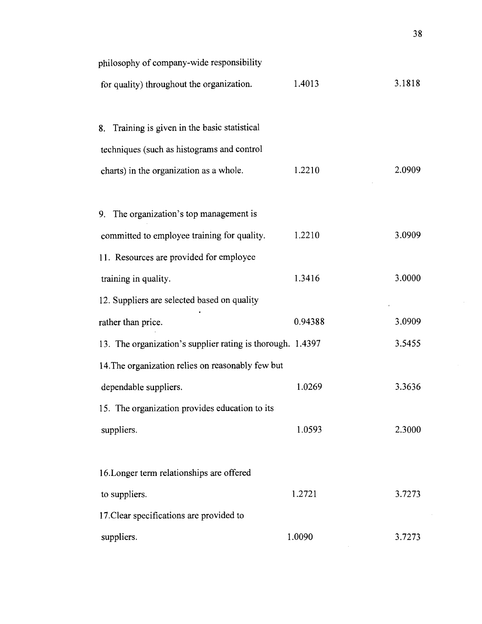| philosophy of company-wide responsibility                  |         |        |
|------------------------------------------------------------|---------|--------|
| for quality) throughout the organization.                  | 1.4013  | 3.1818 |
|                                                            |         |        |
| 8. Training is given in the basic statistical              |         |        |
| techniques (such as histograms and control                 |         |        |
| charts) in the organization as a whole.                    | 1.2210  | 2.0909 |
|                                                            |         |        |
| 9. The organization's top management is                    |         |        |
| committed to employee training for quality.                | 1.2210  | 3.0909 |
| 11. Resources are provided for employee                    |         |        |
| training in quality.                                       | 1.3416  | 3.0000 |
| 12. Suppliers are selected based on quality                |         |        |
| rather than price.                                         | 0.94388 | 3.0909 |
| 13. The organization's supplier rating is thorough. 1.4397 |         | 3.5455 |
| 14. The organization relies on reasonably few but          |         |        |
| dependable suppliers.                                      | 1.0269  | 3.3636 |
| 15. The organization provides education to its             |         |        |
| suppliers.                                                 | 1.0593  | 2.3000 |
|                                                            |         |        |
| 16. Longer term relationships are offered                  |         |        |
| to suppliers.                                              | 1.2721  | 3.7273 |
| 17. Clear specifications are provided to                   |         |        |
| suppliers.                                                 | 1.0090  | 3.7273 |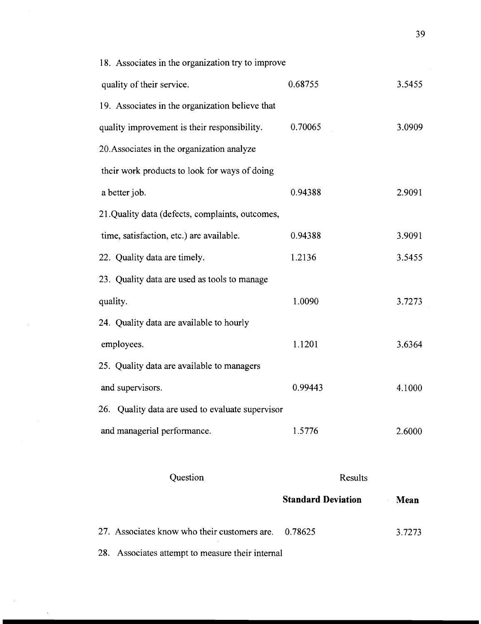|                                                   | <b>Standard Deviation</b> | Mean   |
|---------------------------------------------------|---------------------------|--------|
| Question                                          | Results                   |        |
| and managerial performance.                       | 1.5776                    | 2.6000 |
| 26. Quality data are used to evaluate supervisor  |                           |        |
| and supervisors.                                  | 0.99443                   | 4.1000 |
| 25. Quality data are available to managers        |                           |        |
| employees.                                        | 1.1201                    | 3.6364 |
| 24. Quality data are available to hourly          |                           |        |
| quality.                                          | 1.0090                    | 3.7273 |
| 23. Quality data are used as tools to manage      |                           |        |
| 22. Quality data are timely.                      | 1.2136                    | 3.5455 |
| time, satisfaction, etc.) are available.          | 0.94388                   | 3.9091 |
| 21. Quality data (defects, complaints, outcomes,  |                           |        |
| a better job.                                     | 0.94388                   | 2.9091 |
| their work products to look for ways of doing     |                           |        |
| 20. Associates in the organization analyze        |                           |        |
| quality improvement is their responsibility.      | 0.70065                   | 3.0909 |
| 19. Associates in the organization believe that   |                           |        |
| quality of their service.                         | 0.68755                   | 3.5455 |
| 18. Associates in the organization try to improve |                           |        |

27. Associates know who their customers are. 0.78625 28. Associates attempt to measure their internal 3.7273

 $\mathcal{A}$ 

39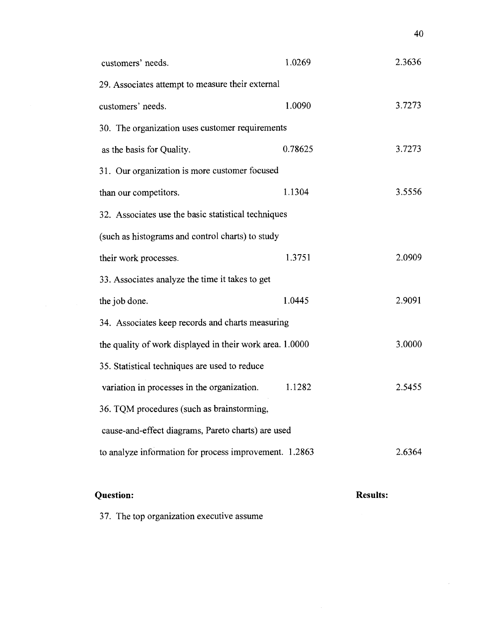| customers' needs.                                        | 1.0269  | 2.3636 |
|----------------------------------------------------------|---------|--------|
| 29. Associates attempt to measure their external         |         |        |
| customers' needs.                                        | 1.0090  | 3.7273 |
| 30. The organization uses customer requirements          |         |        |
| as the basis for Quality.                                | 0.78625 | 3.7273 |
| 31. Our organization is more customer focused            |         |        |
| than our competitors.                                    | 1.1304  | 3.5556 |
| 32. Associates use the basic statistical techniques      |         |        |
| (such as histograms and control charts) to study         |         |        |
| their work processes.                                    | 1.3751  | 2.0909 |
| 33. Associates analyze the time it takes to get          |         |        |
| the job done.                                            | 1.0445  | 2.9091 |
| 34. Associates keep records and charts measuring         |         |        |
| the quality of work displayed in their work area. 1.0000 |         | 3.0000 |
| 35. Statistical techniques are used to reduce            |         |        |
| variation in processes in the organization.              | 1.1282  | 2.5455 |
| 36. TQM procedures (such as brainstorming,               |         |        |
| cause-and-effect diagrams, Pareto charts) are used       |         |        |
| to analyze information for process improvement. 1.2863   |         | 2.6364 |
|                                                          |         |        |

## **Question:**

## **Results:**

 $\sim$ 

40

37. The top organization executive assume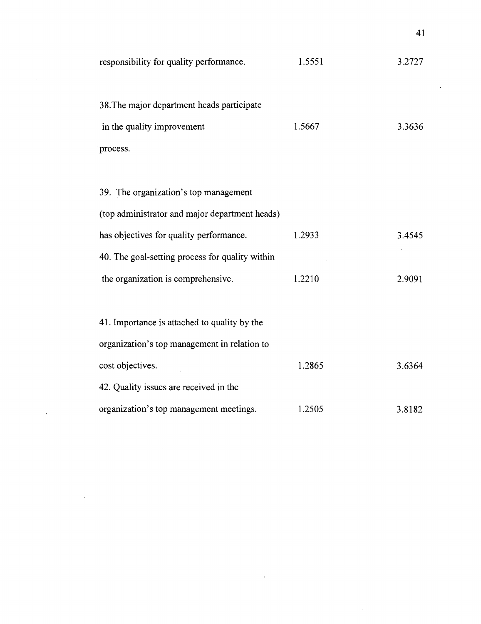| responsibility for quality performance.         | 1.5551 | 3.2727 |
|-------------------------------------------------|--------|--------|
| 38. The major department heads participate      |        |        |
| in the quality improvement                      | 1.5667 | 3.3636 |
| process.                                        |        |        |
|                                                 |        |        |
| 39. The organization's top management           |        |        |
| (top administrator and major department heads)  |        |        |
| has objectives for quality performance.         | 1.2933 | 3.4545 |
| 40. The goal-setting process for quality within |        |        |
| the organization is comprehensive.              | 1.2210 | 2.9091 |
|                                                 |        |        |
| 41. Importance is attached to quality by the    |        |        |
| organization's top management in relation to    |        |        |
| cost objectives.                                | 1.2865 | 3.6364 |
| 42. Quality issues are received in the          |        |        |
| organization's top management meetings.         | 1.2505 | 3.8182 |

 $\mathbb{R}^2$ 

 $\ddot{\phantom{a}}$ 

 $\overline{\phantom{a}}$ 

 $\sim$ 

 $41$ 

J.

 $\hat{\mathcal{A}}$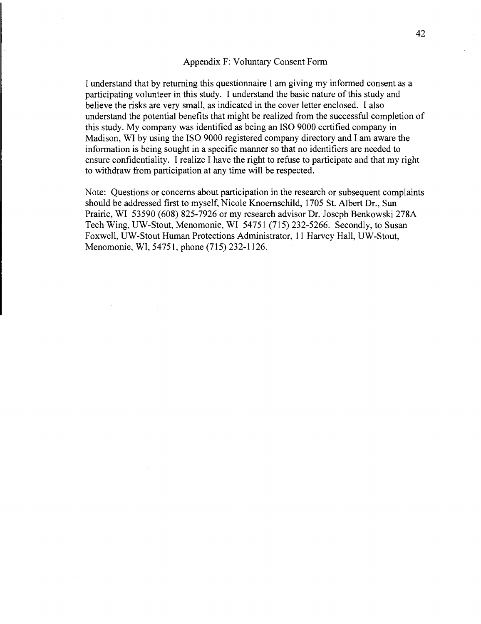### Appendix F: Voluntary Consent Form

I understand that by returning this questionnaire I am giving my informed consent as a participating volunteer in this study. I understand the basic nature of this study and believe the risks are very small, as indicated in the cover letter enclosed. I also understand the potential benefits that might be realized from the successful completion of this study. My company was identified as being an IS0 9000 certified company in Madison, WI by using the IS0 9000 registered company directory and I am aware the information is being sought in a specific manner so that no identifiers are needed to ensure confidentiality. I realize I have the right to refuse to participate and that my right to withdraw from participation at any time will be respected.

Note: Questions or concerns about participation in the research or subsequent complaints should be addressed first to myself, Nicole Knoernschild, 1705 St. Albert Dr., Sun Prairie, WI 53590 (608) 825-7926 or my research advisor Dr. Joseph Benkowski 278A Tech Wing, UW-Stout, Menomonie, WI 54751 (715) 232-5266. Secondly, to Susan Foxwell, UW-Stout Human Protections Administrator, 11 Harvey Hall, UW-Stout, Menomonie, WI, 54751, phone (715) 232-1126.